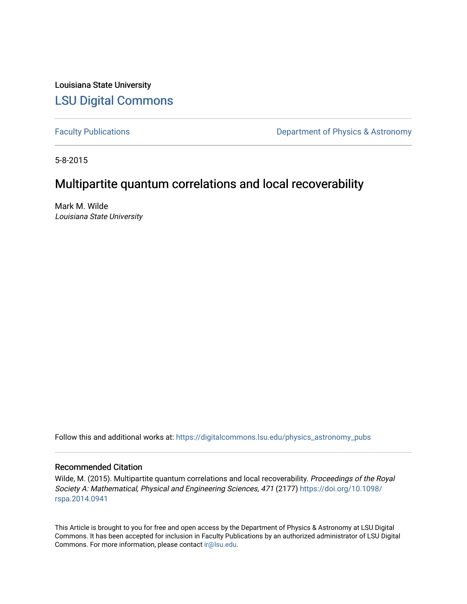Louisiana State University [LSU Digital Commons](https://digitalcommons.lsu.edu/)

[Faculty Publications](https://digitalcommons.lsu.edu/physics_astronomy_pubs) **Exercise 2** Constant Department of Physics & Astronomy

5-8-2015

# Multipartite quantum correlations and local recoverability

Mark M. Wilde Louisiana State University

Follow this and additional works at: [https://digitalcommons.lsu.edu/physics\\_astronomy\\_pubs](https://digitalcommons.lsu.edu/physics_astronomy_pubs?utm_source=digitalcommons.lsu.edu%2Fphysics_astronomy_pubs%2F5686&utm_medium=PDF&utm_campaign=PDFCoverPages) 

#### Recommended Citation

Wilde, M. (2015). Multipartite quantum correlations and local recoverability. Proceedings of the Royal Society A: Mathematical, Physical and Engineering Sciences, 471 (2177) [https://doi.org/10.1098/](https://doi.org/10.1098/rspa.2014.0941) [rspa.2014.0941](https://doi.org/10.1098/rspa.2014.0941) 

This Article is brought to you for free and open access by the Department of Physics & Astronomy at LSU Digital Commons. It has been accepted for inclusion in Faculty Publications by an authorized administrator of LSU Digital Commons. For more information, please contact [ir@lsu.edu](mailto:ir@lsu.edu).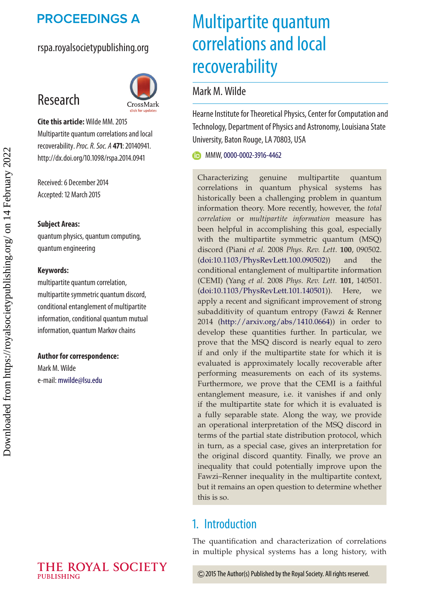# **PROCEEDINGS A**

## rspa.royalsocietypublishing.org



**Cite this article:**Wilde MM. 2015 Multipartite quantum correlations and local recoverability.*Proc. R. Soc. A* **471**: 20140941. http://dx.doi.org/10.1098/rspa.2014.0941

Received: 6 December 2014 Accepted: 12 March 2015

#### **Subject Areas:**

Research

quantum physics, quantum computing, quantum engineering

#### **Keywords:**

multipartite quantum correlation, multipartite symmetric quantum discord, conditional entanglement of multipartite information, conditional quantum mutual information, quantum Markov chains

#### **Author for correspondence:**

Mark M. Wilde e-mail: [mwilde@lsu.edu](mailto:mwilde@lsu.edu)

# Multipartite quantum correlations and local recoverability

## Mark M. Wilde

Hearne Institute for Theoretical Physics, Center for Computation and Technology, Department of Physics and Astronomy, Louisiana State University, Baton Rouge, LA 70803, USA

**MMW, [0000-0002-3916-4462](http://orcid.org/0000-0002-3916-4462)** 

Characterizing genuine multipartite quantum correlations in quantum physical systems has historically been a challenging problem in quantum information theory. More recently, however, the *total correlation* or *multipartite information* measure has been helpful in accomplishing this goal, especially with the multipartite symmetric quantum (MSQ) discord (Piani *et al.* 2008 *Phys. Rev. Lett.* **100**, 090502. [\(doi:10.1103/PhysRevLett.100.090502\)](http://dx.doi.org/doi:10.1103/PhysRevLett.100.090502)) and the conditional entanglement of multipartite information (CEMI) (Yang *et al.* 2008 *Phys. Rev. Lett.* **101**, 140501. [\(doi:10.1103/PhysRevLett.101.140501\)](http://dx.doi.org/doi:10.1103/PhysRevLett.101.140501)). Here, we apply a recent and significant improvement of strong subadditivity of quantum entropy (Fawzi & Renner 2014 [\(http://arxiv.org/abs/1410.0664\)](http://arxiv.org/abs/1410.0664)) in order to develop these quantities further. In particular, we prove that the MSQ discord is nearly equal to zero if and only if the multipartite state for which it is evaluated is approximately locally recoverable after performing measurements on each of its systems. Furthermore, we prove that the CEMI is a faithful entanglement measure, i.e. it vanishes if and only if the multipartite state for which it is evaluated is a fully separable state. Along the way, we provide an operational interpretation of the MSQ discord in terms of the partial state distribution protocol, which in turn, as a special case, gives an interpretation for the original discord quantity. Finally, we prove an inequality that could potentially improve upon the Fawzi–Renner inequality in the multipartite context, but it remains an open question to determine whether this is so.

# 1. Introduction

The quantification and characterization of correlations in multiple physical systems has a long history, with

2015 The Author(s) Published by the Royal Society. All rights reserved.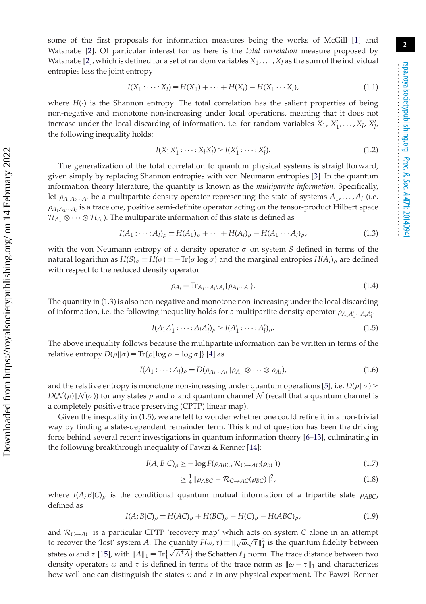$$
I(X_1 : \dots : X_l) \equiv H(X_1) + \dots + H(X_l) - H(X_1 \dots X_l),
$$
\n(1.1)

where  $H(\cdot)$  is the Shannon entropy. The total correlation has the salient properties of being non-negative and monotone non-increasing under local operations, meaning that it does not increase under the local discarding of information, i.e. for random variables  $X_1, X'_1, \ldots, X_l, X'_l, X'_l$ the following inequality holds:

$$
I(X_1 X_1': \dots : X_l X_l') \ge I(X_1': \dots : X_l').
$$
\n(1.2)

The generalization of the total correlation to quantum physical systems is straightforward, given simply by replacing Shannon entropies with von Neumann entropies [\[3\]](#page-19-2). In the quantum information theory literature, the quantity is known as the *multipartite information*. Specifically, let  $\rho_{A_1A_2\cdots A_l}$  be a multipartite density operator representing the state of systems  $A_1, \ldots, A_l$  (i.e.  $\rho_{A_1A_2\cdots A_l}$  is a trace one, positive semi-definite operator acting on the tensor-product Hilbert space  $\mathcal{H}_{A_1} \otimes \cdots \otimes \mathcal{H}_{A_l}$ ). The multipartite information of this state is defined as

$$
I(A_1 : \dots : A_l)_{\rho} \equiv H(A_1)_{\rho} + \dots + H(A_l)_{\rho} - H(A_1 \dots A_l)_{\rho},
$$
\n(1.3)

with the von Neumann entropy of a density operator  $\sigma$  on system *S* defined in terms of the natural logarithm as  $H(S)_{\sigma} \equiv H(\sigma) \equiv -\text{Tr}\{\sigma \log \sigma\}$  and the marginal entropies  $H(A_i)_{\rho}$  are defined with respect to the reduced density operator

$$
\rho_{A_i} = \mathrm{Tr}_{A_1 \cdots A_l \setminus A_i} \{ \rho_{A_1 \cdots A_l} \}.
$$
\n(1.4)

The quantity in (1.3) is also non-negative and monotone non-increasing under the local discarding of information, i.e. the following inequality holds for a multipartite density operator  $\rho_{A_1A'_1\cdots A_lA'_l}$ 

$$
I(A_1A'_1: \dots: A_lA'_l)_{\rho} \ge I(A'_1: \dots: A'_l)_{\rho}.
$$
\n(1.5)

The above inequality follows because the multipartite information can be written in terms of the relative entropy  $D(\rho || \sigma) \equiv \text{Tr}{\{\rho [\log \rho - \log \sigma]\}}$  [\[4\]](#page-19-3) as

$$
I(A_1: \cdots: A_l)_{\rho} = D(\rho_{A_1 \cdots A_l} || \rho_{A_1} \otimes \cdots \otimes \rho_{A_l}),
$$
\n(1.6)

and the relative entropy is monotone non-increasing under quantum operations [\[5\]](#page-19-4), i.e.  $D(\rho||\sigma) \geq$  $D(\mathcal{N}(\rho) || \mathcal{N}(\sigma))$  for any states  $\rho$  and  $\sigma$  and quantum channel  $\mathcal N$  (recall that a quantum channel is a completely positive trace preserving (CPTP) linear map).

Given the inequality in (1.5), we are left to wonder whether one could refine it in a non-trivial way by finding a state-dependent remainder term. This kind of question has been the driving force behind several recent investigations in quantum information theory [\[6–](#page-19-5)[13\]](#page-19-6), culminating in the following breakthrough inequality of Fawzi & Renner [\[14\]](#page-19-7):

$$
I(A;B|C)_{\rho} \ge -\log F(\rho_{ABC}, \mathcal{R}_{C \to AC}(\rho_{BC}))
$$
\n(1.7)

$$
\geq \frac{1}{4} \|\rho_{ABC} - \mathcal{R}_{C \to AC}(\rho_{BC})\|_{1}^2,\tag{1.8}
$$

where  $I(A;B|C)$ <sub> $\rho$ </sub> is the conditional quantum mutual information of a tripartite state  $\rho_{ABC}$ , defined as

$$
I(A;B|C)_{\rho} \equiv H(AC)_{\rho} + H(BC)_{\rho} - H(C)_{\rho} - H(ABC)_{\rho}, \qquad (1.9)
$$

and  $\mathcal{R}_{C\rightarrow AC}$  is a particular CPTP 'recovery map' which acts on system *C* alone in an attempt to recover the 'lost' system *A*. The quantity  $F(\omega, \tau) \equiv \sqrt{\omega} \sqrt{\tau} \Big|_1^2$  is the quantum fidelity between states  $\omega$  and  $\tau$  [\[15\]](#page-19-8), with  $||A||_1 \equiv \text{Tr}\{\sqrt{A^{\dagger}A}\}\$ the Schatten  $\ell_1$  norm. The trace distance between two density operators  $\omega$  and  $\tau$  is defined in terms of the trace norm as  $\|\omega - \tau\|_1$  and characterizes how well one can distinguish the states  $\omega$  and  $\tau$  in any physical experiment. The Fawzi–Renner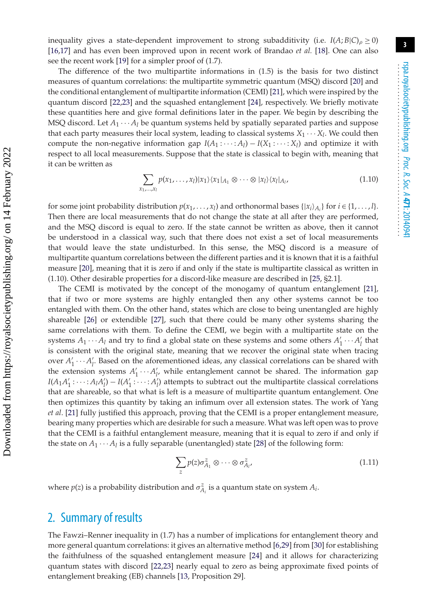inequality gives a state-dependent improvement to strong subadditivity (i.e.  $I(A;B|C)$ <sub>*ρ*</sub>  $\geq$  0) [\[16](#page-19-9)[,17\]](#page-19-10) and has even been improved upon in recent work of Brandao *et al.* [\[18\]](#page-19-11). One can also see the recent work [\[19\]](#page-19-12) for a simpler proof of (1.7).

The difference of the two multipartite informations in (1.5) is the basis for two distinct measures of quantum correlations: the multipartite symmetric quantum (MSQ) discord [\[20\]](#page-19-13) and the conditional entanglement of multipartite information (CEMI) [\[21\]](#page-19-14), which were inspired by the quantum discord [\[22](#page-19-15)[,23\]](#page-19-16) and the squashed entanglement [\[24\]](#page-19-17), respectively. We briefly motivate these quantities here and give formal definitions later in the paper. We begin by describing the MSQ discord. Let  $A_1 \cdots A_l$  be quantum systems held by spatially separated parties and suppose that each party measures their local system, leading to classical systems  $X_1 \cdots X_l$ . We could then compute the non-negative information gap  $I(A_1 : \cdots : A_l) - I(X_1 : \cdots : X_l)$  and optimize it with respect to all local measurements. Suppose that the state is classical to begin with, meaning that it can be written as

$$
\sum_{x_1,\ldots,x_l} p(x_1,\ldots,x_l)|x_1\rangle\langle x_1|_{A_1} \otimes \cdots \otimes |x_l\rangle\langle x_l|_{A_l},\tag{1.10}
$$

for some joint probability distribution  $p(x_1, \ldots, x_l)$  and orthonormal bases  $\{|x_i\rangle_{A_i}\}$  for  $i \in \{1, \ldots, l\}$ . Then there are local measurements that do not change the state at all after they are performed, and the MSQ discord is equal to zero. If the state cannot be written as above, then it cannot be understood in a classical way, such that there does not exist a set of local measurements that would leave the state undisturbed. In this sense, the MSQ discord is a measure of multipartite quantum correlations between the different parties and it is known that it is a faithful measure [\[20\]](#page-19-13), meaning that it is zero if and only if the state is multipartite classical as written in (1.10). Other desirable properties for a discord-like measure are described in [\[25,](#page-19-18) §2.1].

The CEMI is motivated by the concept of the monogamy of quantum entanglement [\[21\]](#page-19-14), that if two or more systems are highly entangled then any other systems cannot be too entangled with them. On the other hand, states which are close to being unentangled are highly shareable [\[26\]](#page-19-19) or extendible [\[27\]](#page-19-20), such that there could be many other systems sharing the same correlations with them. To define the CEMI, we begin with a multipartite state on the systems  $A_1 \cdots A_l$  and try to find a global state on these systems and some others  $A'_1 \cdots A'_l$  that is consistent with the original state, meaning that we recover the original state when tracing over  $A'_1 \cdots A'_l$ . Based on the aforementioned ideas, any classical correlations can be shared with the extension systems  $A'_1 \cdots A'_{l'}$  while entanglement cannot be shared. The information gap *I*( $A_1A'_1$ : ····:  $A_lA'_l$ ) − *I*( $A'_1$ : ····:  $A'_l$ ) attempts to subtract out the multipartite classical correlations that are shareable, so that what is left is a measure of multipartite quantum entanglement. One then optimizes this quantity by taking an infimum over all extension states. The work of Yang *et al*. [\[21\]](#page-19-14) fully justified this approach, proving that the CEMI is a proper entanglement measure, bearing many properties which are desirable for such a measure. What was left open was to prove that the CEMI is a faithful entanglement measure, meaning that it is equal to zero if and only if the state on  $A_1 \cdots A_l$  is a fully separable (unentangled) state [\[28\]](#page-19-21) of the following form:

$$
\sum_{z} p(z)\sigma_{A_1}^z \otimes \cdots \otimes \sigma_{A_l}^z, \tag{1.11}
$$

where  $p(z)$  is a probability distribution and  $\sigma_{A_i}^z$  is a quantum state on system  $A_i$ .

# 2. Summary of results

The Fawzi–Renner inequality in (1.7) has a number of implications for entanglement theory and more general quantum correlations: it gives an alternative method [\[6,](#page-19-5)[29\]](#page-20-0) from [\[30\]](#page-20-1) for establishing the faithfulness of the squashed entanglement measure [\[24\]](#page-19-17) and it allows for characterizing quantum states with discord [\[22,](#page-19-15)[23\]](#page-19-16) nearly equal to zero as being approximate fixed points of entanglement breaking (EB) channels [\[13,](#page-19-6) Proposition 29].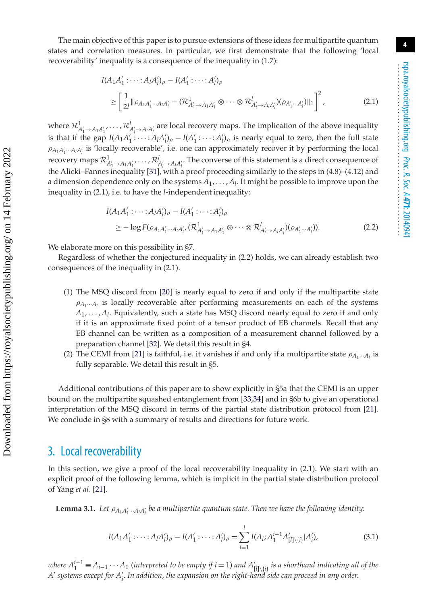The main objective of this paper is to pursue extensions of these ideas for multipartite quantum states and correlation measures. In particular, we first demonstrate that the following 'local recoverability' inequality is a consequence of the inequality in (1.7):

$$
I(A_1 A'_1 : \dots : A_l A'_l)_{\rho} - I(A'_1 : \dots : A'_l)_{\rho}
$$
  
\n
$$
\geq \left[ \frac{1}{2l} \| \rho_{A_1 A'_1 \dots A_l A'_l} - (\mathcal{R}^1_{A'_1 \to A_1 A'_1} \otimes \dots \otimes \mathcal{R}^l_{A'_l \to A_l A'_l}) (\rho_{A'_1 \dots A'_l}) \|_1 \right]^2,
$$
 (2.1)

where  $\mathcal{R}^1_{A'_1 \to A_1 A'_1}$ , ...,  $\mathcal{R}^1_{A'_1 \to A_1 A'_1}$  are local recovery maps. The implication of the above inequality is that if the gap  $I(A_1A'_1: \cdots: A_lA_l')_{\rho} - I(A'_1: \cdots: A_l')_{\rho}$  is nearly equal to zero, then the full state  $\rho_{A_1A'_1\cdots A_lA'_l}$  is 'locally recoverable', i.e. one can approximately recover it by performing the local recovery maps  $\mathcal{R}_{A'_{1}\to A_{1}A'_{1}}^{1}$ , ...,  $\mathcal{R}_{A'_{1}\to A_{1}A'_{1}}^{1}$ . The converse of this statement is a direct consequence of the Alicki–Fannes inequality [\[31\]](#page-20-2), with a proof proceeding similarly to the steps in (4.8)–(4.12) and a dimension dependence only on the systems *A*1, ... , *Al*. It might be possible to improve upon the inequality in (2.1), i.e. to have the *l*-independent inequality:

$$
I(A_1 A'_1: \dots: A_l A'_l)_{\rho} - I(A'_1: \dots: A'_l)_{\rho}
$$
  
\n
$$
\geq -\log F(\rho_{A_1 A'_1 \dots A_l A'_{l'}} (\mathcal{R}^1_{A'_1 \to A_1 A'_1} \otimes \dots \otimes \mathcal{R}^l_{A'_l \to A_l A'_l})(\rho_{A'_1 \dots A'_l})).
$$
\n(2.2)

We elaborate more on this possibility in §7.

Regardless of whether the conjectured inequality in (2.2) holds, we can already establish two consequences of the inequality in (2.1).

- (1) The MSQ discord from [\[20\]](#page-19-13) is nearly equal to zero if and only if the multipartite state  $\rho_{A_1\cdots A_l}$  is locally recoverable after performing measurements on each of the systems *A*1, ... , *Al*. Equivalently, such a state has MSQ discord nearly equal to zero if and only if it is an approximate fixed point of a tensor product of EB channels. Recall that any EB channel can be written as a composition of a measurement channel followed by a preparation channel [\[32\]](#page-20-3). We detail this result in §4.
- (2) The CEMI from [\[21\]](#page-19-14) is faithful, i.e. it vanishes if and only if a multipartite state  $\rho_{A_1\cdots A_l}$  is fully separable. We detail this result in §5.

Additional contributions of this paper are to show explicitly in §5a that the CEMI is an upper bound on the multipartite squashed entanglement from [\[33](#page-20-4)[,34\]](#page-20-5) and in §6b to give an operational interpretation of the MSQ discord in terms of the partial state distribution protocol from [\[21\]](#page-19-14). We conclude in §8 with a summary of results and directions for future work.

## 3. Local recoverability

In this section, we give a proof of the local recoverability inequality in (2.1). We start with an explicit proof of the following lemma, which is implicit in the partial state distribution protocol of Yang *et al*. [\[21\]](#page-19-14).

**Lemma 3.1.** Let  $\rho_{A_1A'_1\cdots A_lA'_l}$  be a multipartite quantum state. Then we have the following identity:

$$
I(A_1A'_1: \cdots: A_lA'_l)_{\rho} - I(A'_1: \cdots: A'_l)_{\rho} = \sum_{i=1}^l I(A_i; A_1^{i-1}A'_{[l] \setminus \{i\}} | A'_i), \tag{3.1}
$$

 $N$  *where*  $A_1^{i-1} \equiv A_{i-1} \cdots A_1$  (interpreted to be empty if  $i = 1$ ) and  $A'_{[l] \setminus \{i\}}$  is a shorthand indicating all of the *A systems except for A i . In addition*, *the expansion on the right-hand side can proceed in any order.*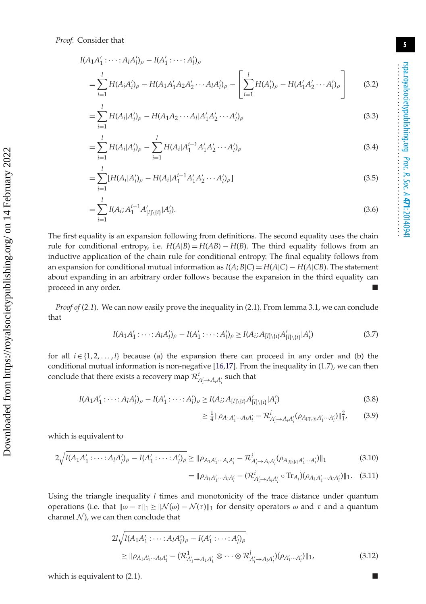$$
I(A_1A'_1: \dots: A_lA'_l)_{\rho} - I(A'_1: \dots: A'_l)_{\rho}
$$
  
=  $\sum_{i=1}^l H(A_iA'_i)_{\rho} - H(A_1A'_1A_2A'_2 \dots A_lA'_l)_{\rho} - \left[ \sum_{i=1}^l H(A'_i)_{\rho} - H(A'_1A'_2 \dots A'_l)_{\rho} \right]$  (3.2)

$$
=\sum_{i=1}^{l} H(A_i|A'_i)_{\rho} - H(A_1A_2\cdots A_l|A'_1A'_2\cdots A'_l)_{\rho}
$$
\n(3.3)

$$
=\sum_{i=1}^{l} H(A_i|A'_i)_{\rho} - \sum_{i=1}^{l} H(A_i|A_1^{i-1}A'_1A'_2\cdots A'_l)_{\rho}
$$
\n(3.4)

$$
=\sum_{i=1}^{l}[H(A_i|A'_i)_{\rho}-H(A_i|A_1^{i-1}A'_1A'_2\cdots A'_l)_{\rho}]
$$
\n(3.5)

$$
=\sum_{i=1}^{l} I(A_i; A_1^{i-1}A'_{[l]\setminus\{i\}}|A'_i).
$$
\n(3.6)

The first equality is an expansion following from definitions. The second equality uses the chain rule for conditional entropy, i.e.  $H(A|B) = H(AB) - H(B)$ . The third equality follows from an inductive application of the chain rule for conditional entropy. The final equality follows from an expansion for conditional mutual information as  $I(A;B|C) = H(A|C) - H(A|CB)$ . The statement about expanding in an arbitrary order follows because the expansion in the third equality can proceed in any order.

*Proof of* (*2.1*)*.* We can now easily prove the inequality in (2.1). From lemma 3.1, we can conclude that

$$
I(A_1A'_1: \dots: A_lA'_l)_{\rho} - I(A'_1: \dots: A'_l)_{\rho} \ge I(A_i; A_{[l] \setminus \{i\}}A'_{[l] \setminus \{i\}}|A'_i)
$$
\n(3.7)

for all  $i \in \{1, 2, \ldots, l\}$  because (a) the expansion there can proceed in any order and (b) the conditional mutual information is non-negative  $[16,17]$  $[16,17]$ . From the inequality in (1.7), we can then conclude that there exists a recovery map  $\mathcal{R}^i_{A'_i \to A_i A'_i}$  such that

$$
I(A_1A'_1: \dots: A_lA'_l)_{\rho} - I(A'_1: \dots: A'_l)_{\rho} \ge I(A_i; A_{[l] \setminus \{i\}}A'_{[l] \setminus \{i\}} | A'_i)
$$
\n(3.8)

$$
\geq \frac{1}{4} \|\rho_{A_1 A'_1 \cdots A_l A'_l} - \mathcal{R}_{A'_i \to A_i A'_i}^i (\rho_{A_{[l] \setminus \{i\}} A'_1 \cdots A'_l})\|_1^2, \qquad (3.9)
$$

which is equivalent to

$$
2\sqrt{I(A_1A'_1:\cdots:A_lA'_l)_{\rho}-I(A'_1:\cdots:A'_l)_{\rho}} \geq \|\rho_{A_1A'_1\cdots A_lA'_l} - \mathcal{R}^i_{A'_i\rightarrow A_iA'_i}(\rho_{A_{[l]\setminus\{i\}}A'_1\cdots A'_l})\|_1
$$
\n(3.10)

$$
= \|\rho_{A_1A'_1\cdots A_lA'_l} - (\mathcal{R}_{A'_i \to A_iA'_i}^i \circ \text{Tr}_{A_i}) (\rho_{A_1A'_1\cdots A_lA'_l})\|_1. \quad (3.11)
$$

Using the triangle inequality *l* times and monotonicity of the trace distance under quantum operations (i.e. that  $\|\omega - \tau\|_1 \geq \|\mathcal{N}(\omega) - \mathcal{N}(\tau)\|_1$  for density operators ω and τ and a quantum channel  $N$ ), we can then conclude that

$$
2l\sqrt{I(A_1A'_1:...:A_lA'_l)_{\rho} - I(A'_1:...:A'_l)_{\rho}}
$$
  
\n
$$
\geq ||\rho_{A_1A'_1...A_lA'_l} - (\mathcal{R}^1_{A'_1 \to A_1A'_1} \otimes ... \otimes \mathcal{R}^l_{A'_l \to A_lA'_l})(\rho_{A'_1...A'_l})||_1,
$$
\n(3.12)

which is equivalent to  $(2.1)$ .

rspa.royalsocietypublishing.org

*Proc. R. Soc. A* **471**: 20140941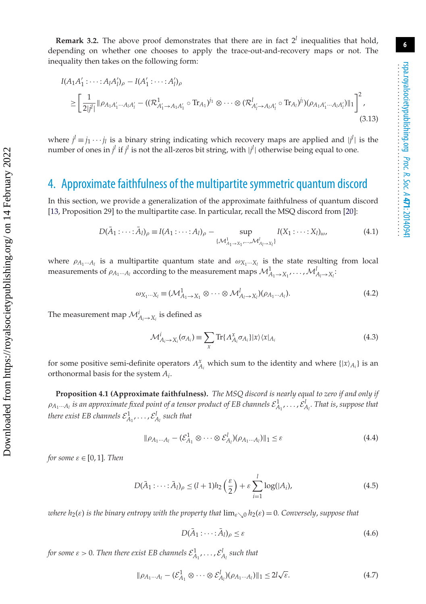**Remark 3.2.** The above proof demonstrates that there are in fact  $2^l$  inequalities that hold, depending on whether one chooses to apply the trace-out-and-recovery maps or not. The inequality then takes on the following form:

$$
I(A_1A'_1: \dots: A_lA'_l)_{\rho} - I(A'_1: \dots: A'_l)_{\rho}
$$
  
\n
$$
\geq \left[\frac{1}{2|j^l|} \|\rho_{A_1A'_1\cdots A_lA'_l} - ((\mathcal{R}_{A'_1 \to A_1A'_1}^{1} \circ \text{Tr}_{A_1})^{j_1} \otimes \dots \otimes (\mathcal{R}_{A'_l \to A_lA'_l}^{l} \circ \text{Tr}_{A_l})^{j_l})(\rho_{A_1A'_1\cdots A_lA'_l})\|_1\right]^2,
$$
\n(3.13)

where  $j^l \equiv j_1 \cdots j_l$  is a binary string indicating which recovery maps are applied and  $|j^l|$  is the number of ones in  $j^l$  if  $j^l$  is not the all-zeros bit string, with  $|j^l|$  otherwise being equal to one.

## 4. Approximate faithfulness of the multipartite symmetric quantum discord

In this section, we provide a generalization of the approximate faithfulness of quantum discord [\[13,](#page-19-6) Proposition 29] to the multipartite case. In particular, recall the MSQ discord from [\[20\]](#page-19-13):

$$
D(\bar{A}_1 : \cdots : \bar{A}_l)_{\rho} \equiv I(A_1 : \cdots : A_l)_{\rho} - \sup_{\{M^1_{A_1 \to X_1}, \cdots, M^l_{A_l \to X_l}\}} I(X_1 : \cdots : X_l)_{\omega},
$$
(4.1)

where  $\rho_{A_1\cdots A_l}$  is a multipartite quantum state and  $\omega_{X_1\cdots X_l}$  is the state resulting from local measurements of  $\rho_{A_1\cdots A_l}$  according to the measurement maps  $\mathcal{M}^1_{A_1\to X_1},\ldots,\mathcal{M}^l_{A_l\to X_l};$ 

$$
\omega_{X_1\cdots X_l} \equiv (\mathcal{M}^1_{A_1 \to X_1} \otimes \cdots \otimes \mathcal{M}^l_{A_l \to X_l})(\rho_{A_1\cdots A_l}). \tag{4.2}
$$

The measurement map  $\mathcal{M}_{A_i \rightarrow X_i}^i$  is defined as

$$
\mathcal{M}_{A_i \to X_i}^i(\sigma_{A_i}) \equiv \sum_{x} \text{Tr}\{A_{A_i}^x \sigma_{A_i}\} |x\rangle \langle x|_{A_i}
$$
\n(4.3)

for some positive semi-definite operators  $\Lambda_{A_i}^x$  which sum to the identity and where  $\{\vert x\rangle_{A_i}\}$  is an orthonormal basis for the system *Ai*.

**Proposition 4.1 (Approximate faithfulness).** *The MSQ discord is nearly equal to zero if and only if*  $\rho_{A_1\cdots A_l}$  *is an approximate fixed point of a tensor product of EB channels*  $\mathcal{E}^1_{A_1},\ldots,\mathcal{E}^l_{A_l}.$  *That is, suppose that* there exist EB channels  $\mathcal{E}_{A_1}^1, \ldots, \mathcal{E}_{A_l}^l$  such that

$$
\|\rho_{A_1\cdots A_l} - (\mathcal{E}_{A_1}^1 \otimes \cdots \otimes \mathcal{E}_{A_l}^l)(\rho_{A_1\cdots A_l})\|_1 \leq \varepsilon
$$
\n(4.4)

*for some*  $\varepsilon \in [0, 1]$ *. Then* 

$$
D(\bar{A}_1: \cdots: \bar{A}_l)_\rho \le (l+1)h_2\left(\frac{\varepsilon}{2}\right) + \varepsilon \sum_{i=1}^l \log(|A_i|),\tag{4.5}
$$

*where h*<sub>2</sub>( $\varepsilon$ ) *is the binary entropy with the property that*  $\lim_{\varepsilon \to 0} h_2(\varepsilon) = 0$ *. Conversely*, *suppose that* 

$$
D(\bar{A}_1: \cdots: \bar{A}_l)_{\rho} \le \varepsilon \tag{4.6}
$$

for some  $\varepsilon > 0$ . Then there exist EB channels  $\mathcal{E}_{A_1}^1, \ldots, \mathcal{E}_{A_l}^l$  such that

$$
\|\rho_{A_1\cdots A_l} - (\mathcal{E}_{A_1}^1 \otimes \cdots \otimes \mathcal{E}_{A_l}^l)(\rho_{A_1\cdots A_l})\|_1 \le 2l\sqrt{\varepsilon}.\tag{4.7}
$$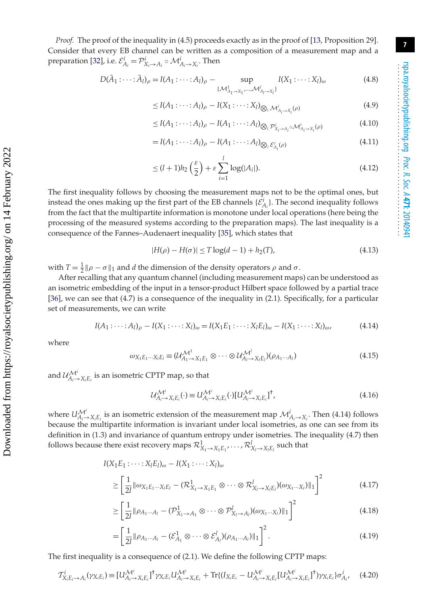*Proof.* The proof of the inequality in (4.5) proceeds exactly as in the proof of [\[13,](#page-19-6) Proposition 29]. Consider that every EB channel can be written as a composition of a measurement map and a preparation [\[32\]](#page-20-3), i.e.  $\mathcal{E}^i_{A_i} = \mathcal{P}^i_{X_i \to A_i} \circ \mathcal{M}^i_{A_i \to X_i}$ . Then

$$
D(\bar{A}_1 : \cdots : \bar{A}_l)_{\rho} = I(A_1 : \cdots : A_l)_{\rho} - \sup_{\{M^1_{A_1 \to X_1}, \cdots, M^l_{A_l \to X_l}\}} I(X_1 : \cdots : X_l)_{\omega}
$$
(4.8)

$$
\leq I(A_1: \cdots: A_l)_{\rho} - I(X_1: \cdots: X_l)_{\bigotimes_i \mathcal{M}_{A_i \to X_i}^i(\rho)}
$$
\n
$$
(4.9)
$$

$$
\leq I(A_1: \cdots: A_l)_{\rho} - I(A_1: \cdots: A_l)_{\bigotimes_i \mathcal{P}_{X_i \to A_i}^i \circ \mathcal{M}_{A_i \to X_i}^i(\rho)} \tag{4.10}
$$

$$
= I(A_1 : \cdots : A_l)_{\rho} - I(A_1 : \cdots : A_l)_{\bigotimes_i \mathcal{E}_{A_i}^i(\rho)}
$$
\n
$$
(4.11)
$$

$$
\leq (l+1)h_2\left(\frac{\varepsilon}{2}\right)+\varepsilon\sum_{i=1}^l\log(|A_i|). \tag{4.12}
$$

The first inequality follows by choosing the measurement maps not to be the optimal ones, but instead the ones making up the first part of the EB channels  $\{\mathcal{E}_{A_i}^i\}$ . The second inequality follows from the fact that the multipartite information is monotone under local operations (here being the processing of the measured systems according to the preparation maps). The last inequality is a consequence of the Fannes–Audenaert inequality [\[35\]](#page-20-6), which states that

$$
|H(\rho) - H(\sigma)| \le T \log(d - 1) + h_2(T), \tag{4.13}
$$

with  $T = \frac{1}{2} || \rho - \sigma ||_1$  and *d* the dimension of the density operators  $\rho$  and  $\sigma$ .

After recalling that any quantum channel (including measurement maps) can be understood as an isometric embedding of the input in a tensor-product Hilbert space followed by a partial trace [\[36\]](#page-20-7), we can see that (4.7) is a consequence of the inequality in (2.1). Specifically, for a particular set of measurements, we can write

$$
I(A_1: \dots: A_l)_{\rho} - I(X_1: \dots: X_l)_{\omega} = I(X_1 E_1: \dots: X_l E_l)_{\omega} - I(X_1: \dots: X_l)_{\omega},
$$
\n(4.14)

where

$$
\omega_{X_1E_1\cdots X_lE_l} \equiv (\mathcal{U}_{A_1 \to X_1E_1}^{\mathcal{M}^1} \otimes \cdots \otimes \mathcal{U}_{A_l \to X_lE_l}^{\mathcal{M}^l})(\rho_{A_1\cdots A_l})
$$
(4.15)

and  $\mathcal{U}_{A_i \to X_i E_i}^{\mathcal{M}^i}$  is an isometric CPTP map, so that

$$
\mathcal{U}_{A_i \to X_i E_i}^{\mathcal{M}^i}(\cdot) \equiv U_{A_i \to X_i E_i}^{\mathcal{M}^i}(\cdot) [U_{A_i \to X_i E_i}^{\mathcal{M}^i}]^{\dagger}, \tag{4.16}
$$

where  $U_{A_i \to X_i E_i}^{\mathcal{M}^i}$  is an isometric extension of the measurement map  $\mathcal{M}_{A_i \to X_i}^i$ . Then (4.14) follows because the multipartite information is invariant under local isometries, as one can see from its definition in (1.3) and invariance of quantum entropy under isometries. The inequality (4.7) then follows because there exist recovery maps  $\mathcal{R}^1_{X_1\to X_1E_1},\ldots,\mathcal{R}^l_{X_l\to X_lE_l}$  such that

$$
I(X_1E_1: \dots: X_lE_l)_{\omega} - I(X_1: \dots: X_l)_{\omega}
$$
  
\n
$$
\geq \left[\frac{1}{2l} ||\omega_{X_1E_1\cdots X_lE_l} - (\mathcal{R}_{X_1 \to X_1E_1}^1 \otimes \dots \otimes \mathcal{R}_{X_l \to X_lE_l}^l)(\omega_{X_1 \cdots X_l})||_1\right]^2
$$
(4.17)

$$
\geq \left[\frac{1}{2l} \|\rho_{A_1\cdots A_l} - (\mathcal{P}_{X_1 \to A_1}^1 \otimes \cdots \otimes \mathcal{P}_{X_l \to A_l}^l)(\omega_{X_1 \cdots X_l})\|_1\right]^2
$$
(4.18)

$$
= \left[\frac{1}{2l} \|\rho_{A_1\cdots A_l} - (\mathcal{E}_{A_1}^1 \otimes \cdots \otimes \mathcal{E}_{A_l}^l)(\rho_{A_1\cdots A_l})\|_1\right]^2.
$$
\n(4.19)

The first inequality is a consequence of (2.1). We define the following CPTP maps:

$$
\mathcal{T}_{X_iE_i \to A_i}^i(\gamma_{X_iE_i}) \equiv [U_{A_i \to X_iE_i}^{\mathcal{M}^i}]^{\dagger} \gamma_{X_iE_i} U_{A_i \to X_iE_i}^{\mathcal{M}^i} + \text{Tr}\{(I_{X_iE_i} - U_{A_i \to X_iE_i}^{\mathcal{M}^i}[U_{A_i \to X_iE_i}^{\mathcal{M}^i}]^{\dagger})\gamma_{X_iE_i}\}\sigma_{A_i}^i, \quad (4.20)
$$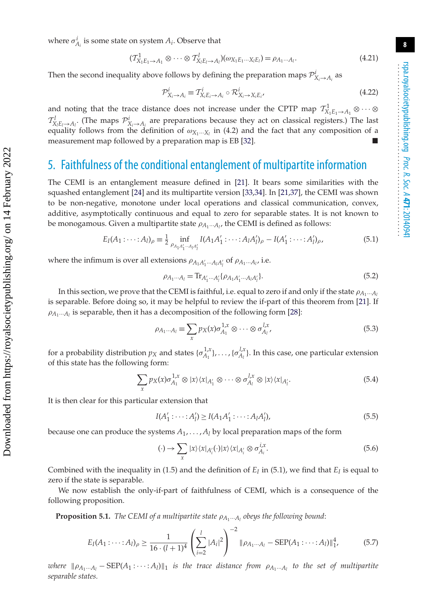where  $\sigma_{A_i}^i$  is some state on system  $A_i$ . Observe that

$$
(\mathcal{T}_{X_1E_1 \to A_1}^1 \otimes \cdots \otimes \mathcal{T}_{X_lE_l \to A_l}^l)(\omega_{X_1E_1 \cdots X_lE_l}) = \rho_{A_1 \cdots A_l}.
$$
\n(4.21)

Then the second inequality above follows by defining the preparation maps  $\mathcal{P}^i_{X_i \to A_i}$  as

$$
\mathcal{P}_{X_i \to A_i}^i \equiv \mathcal{T}_{X_i E_i \to A_i}^i \circ \mathcal{R}_{X_i \to X_i E_i}^i \tag{4.22}
$$

and noting that the trace distance does not increase under the CPTP map  $\mathcal{T}^1_{X_1E_1 \to A_1} \otimes \cdots \otimes$  $\mathcal{T}_{X_iE_i\to A_i}^l$ . (The maps  $\mathcal{P}_{X_i\to A_i}^i$  are preparations because they act on classical registers.) The last equality follows from the definition of  $\omega_{X_1\cdots X_l}$  in (4.2) and the fact that any composition of a measurement map followed by a preparation map is EB [\[32\]](#page-20-3). -

## 5. Faithfulness of the conditional entanglement of multipartite information

The CEMI is an entanglement measure defined in [\[21\]](#page-19-14). It bears some similarities with the squashed entanglement [\[24\]](#page-19-17) and its multipartite version [\[33,](#page-20-4)[34\]](#page-20-5). In [\[21](#page-19-14)[,37\]](#page-20-8), the CEMI was shown to be non-negative, monotone under local operations and classical communication, convex, additive, asymptotically continuous and equal to zero for separable states. It is not known to be monogamous. Given a multipartite state  $\rho_{A_1\cdots A_l}$ , the CEMI is defined as follows:

$$
E_I(A_1: \dots: A_l)_{\rho} \equiv \frac{1}{2} \inf_{\rho_{A_1 A'_1 \dots A_l A'_l}} I(A_1 A'_1: \dots: A_l A'_l)_{\rho} - I(A'_1: \dots: A'_l)_{\rho},
$$
\n(5.1)

where the infimum is over all extensions  $\rho_{A_1A'_1\cdots A_lA'_l}$  of  $\rho_{A_1\cdots A_l}$ , i.e.

$$
\rho_{A_1\cdots A_l} = \text{Tr}_{A'_1\cdots A'_l} \{ \rho_{A_1 A'_1 \cdots A_l A'_l} \}.
$$
\n(5.2)

In this section, we prove that the CEMI is faithful, i.e. equal to zero if and only if the state  $\rho_{A_1\cdots A_l}$ is separable. Before doing so, it may be helpful to review the if-part of this theorem from [\[21\]](#page-19-14). If  $\rho_{A_1\cdots A_l}$  is separable, then it has a decomposition of the following form [\[28\]](#page-19-21):

$$
\rho_{A_1\cdots A_l} \equiv \sum_x p_X(x) \sigma_{A_1}^{1,x} \otimes \cdots \otimes \sigma_{A_l}^{l,x}, \qquad (5.3)
$$

for a probability distribution  $p_X$  and states  $\{\sigma_{A_1}^{1,x}\}, \ldots, \{\sigma_{A_l}^{l,x}\}$ . In this case, one particular extension of this state has the following form:

$$
\sum_{x} p_X(x) \sigma_{A_1}^{1,x} \otimes |x\rangle \langle x|_{A_1'} \otimes \cdots \otimes \sigma_{A_l}^{l,x} \otimes |x\rangle \langle x|_{A_l'}.
$$
 (5.4)

It is then clear for this particular extension that

$$
I(A'_1: \dots: A'_l) \ge I(A_1 A'_1: \dots: A_l A'_l),
$$
\n(5.5)

because one can produce the systems  $A_1, \ldots, A_l$  by local preparation maps of the form

$$
(\cdot) \to \sum_{x} |x\rangle \langle x|_{A_i'}(\cdot) |x\rangle \langle x|_{A_i'} \otimes \sigma_{A_i}^{i,x}.\tag{5.6}
$$

Combined with the inequality in (1.5) and the definition of  $E_I$  in (5.1), we find that  $E_I$  is equal to zero if the state is separable.

We now establish the only-if-part of faithfulness of CEMI, which is a consequence of the following proposition.

**Proposition 5.1.** *The CEMI of a multipartite state* ρ*A*1···*Al obeys the following bound*:

$$
E_I(A_1: \dots: A_l)_{\rho} \ge \frac{1}{16 \cdot (l+1)^4} \left(\sum_{i=2}^l |A_i|^2\right)^{-2} \|\rho_{A_1 \dots A_l} - \text{SEP}(A_1: \dots: A_l)\|_{1'}^4 \tag{5.7}
$$

*where*  $\|\rho_{A_1\cdots A_l} - \text{SEP}(A_1 \cdots A_l)\|_1$  *is the trace distance from*  $\rho_{A_1\cdots A_l}$  *to the set of multipartite separable states.*

 Downloaded from https://royalsocietypublishing.org/ on 14 February 2022 Downloaded from https://royalsocietypublishing.org/ on 14 February 2022 rspa.royalsocietypublishing.org

...................................................

*Proc. R. Soc. A* **471**: 20140941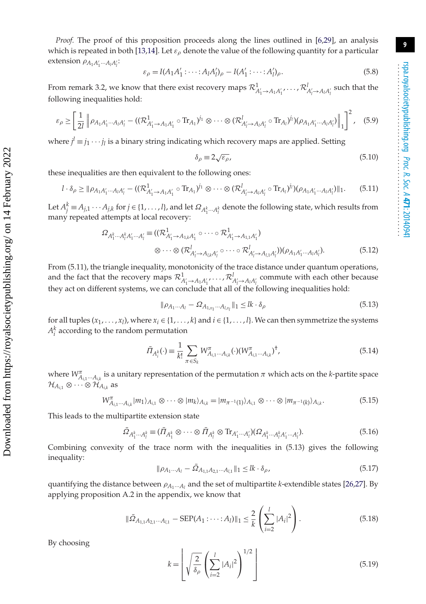*Proof.* The proof of this proposition proceeds along the lines outlined in [\[6,](#page-19-5)[29\]](#page-20-0), an analysis which is repeated in both [\[13,](#page-19-6)[14\]](#page-19-7). Let  $\varepsilon_{\rho}$  denote the value of the following quantity for a particular extension  $\rho_{A_1A'_1\cdots A_lA'_l}$ :

$$
\varepsilon_{\rho} = I(A_1 A_1' \cdots : A_l A_l')_{\rho} - I(A_1' \cdots : A_l')_{\rho}.
$$
\n
$$
(5.8)
$$

From remark 3.2, we know that there exist recovery maps  $\mathcal{R}^1_{A'_1 \to A_1 A'_1}, \ldots, \mathcal{R}^l_{A'_l \to A_l A'_l}$  such that the following inequalities hold:

$$
\varepsilon_{\rho} \geq \left[ \frac{1}{2l} \left\| \rho_{A_1 A'_1 \cdots A_l A'_l} - ((\mathcal{R}_{A'_1 \to A_1 A'_1}^1 \circ \text{Tr}_{A_1})^{j_1} \otimes \cdots \otimes (\mathcal{R}_{A'_l \to A_l A'_l}^l \circ \text{Tr}_{A_l})^{j_l})(\rho_{A_1 A'_1 \cdots A_l A'_l}) \right\|_1 \right]^2, \quad (5.9)
$$

where  $j' \equiv j_1 \cdots j_l$  is a binary string indicating which recovery maps are applied. Setting

$$
\delta_{\rho} \equiv 2\sqrt{\varepsilon_{\rho}},\tag{5.10}
$$

these inequalities are then equivalent to the following ones:

$$
l \cdot \delta_{\rho} \geq \|\rho_{A_1A'_1\cdots A_lA'_l} - ((\mathcal{R}_{A'_1\to A_1A'_1}^1 \circ \text{Tr}_{A_1})^{j_1} \otimes \cdots \otimes (\mathcal{R}_{A'_l\to A_lA'_l}^l \circ \text{Tr}_{A_l})^{j_l})(\rho_{A_1A'_1\cdots A_lA'_l})\|_1.
$$
(5.11)

Let  $A_j^k \equiv A_{j,1} \cdots A_{j,k}$  for  $j \in \{1,\ldots, l\}$ , and let  $\Omega_{A_1^k \cdots A_l^k}$  denote the following state, which results from many repeated attempts at local recovery:

$$
\Omega_{A_1^k \cdots A_l^k A_1' \cdots A_l'} \equiv ((\mathcal{R}_{A_1' \to A_{1,k} A_1'}^{1} \circ \cdots \circ \mathcal{R}_{A_1' \to A_{1,1} A_1'}^{1})
$$
  

$$
\otimes \cdots \otimes (\mathcal{R}_{A_l' \to A_{l,k} A_l'}^{l} \circ \cdots \circ \mathcal{R}_{A_l' \to A_{l,1} A_l'}^{l}) (\rho_{A_1 A_1' \cdots A_l A_l'}).
$$
(5.12)

From (5.11), the triangle inequality, monotonicity of the trace distance under quantum operations, and the fact that the recovery maps  $\mathcal{R}^1_{A'_1 \to A_1 A'_1}, \ldots, \mathcal{R}^l_{A'_l \to A_l A'_l}$  commute with each other because they act on different systems, we can conclude that all of the following inequalities hold:

$$
\|\rho_{A_1\cdots A_l} - \Omega_{A_{1,x_1}\cdots A_{l,x_l}}\|_1 \leq l k \cdot \delta_\rho
$$
\n(5.13)

for all tuples  $(x_1, ..., x_l)$ , where  $x_i \in \{1, ..., k\}$  and  $i \in \{1, ..., l\}$ . We can then symmetrize the systems  $A_i^k$  according to the random permutation

$$
\bar{\Pi}_{A_i^k}(\cdot) \equiv \frac{1}{k!} \sum_{\pi \in S_k} W^{\pi}_{A_{i,1} \cdots A_{i,k}}(\cdot) (W^{\pi}_{A_{i,1} \cdots A_{i,k}})^{\dagger}, \tag{5.14}
$$

where  $W^{\pi}_{A_{i,1}\cdots A_{i,k}}$  is a unitary representation of the permutation  $\pi$  which acts on the *k*-partite space  $\mathcal{H}_{A_{i,1}}$  ⊗  $\cdots$  ⊗  $\mathcal{H}_{A_{i,k}}$  as

$$
W^{\pi}_{A_{i,1}\cdots A_{i,k}}|m_1\rangle_{A_{i,1}} \otimes \cdots \otimes |m_k\rangle_{A_{i,k}} = |m_{\pi^{-1}(1)}\rangle_{A_{i,1}} \otimes \cdots \otimes |m_{\pi^{-1}(k)}\rangle_{A_{i,k}}.
$$
(5.15)

This leads to the multipartite extension state

$$
\bar{\Omega}_{A_1^k\cdots A_l^k} \equiv (\bar{\Pi}_{A_1^k} \otimes \cdots \otimes \bar{\Pi}_{A_l^k} \otimes \text{Tr}_{A_1'\cdots A_l'})(\Omega_{A_1^k\cdots A_l^k A_1'\cdots A_l'}).
$$
\n(5.16)

Combining convexity of the trace norm with the inequalities in (5.13) gives the following inequality:

$$
\|\rho_{A_1\cdots A_l} - \bar{\Omega}_{A_{1,1}A_{2,1}\cdots A_{l,1}}\|_1 \leq lk \cdot \delta_{\rho},\tag{5.17}
$$

quantifying the distance between ρ*A*1···*Al* and the set of multipartite *k*-extendible states [\[26](#page-19-19)[,27\]](#page-19-20). By applying proposition A.2 in the appendix, we know that

$$
\|\bar{\Omega}_{A_{1,1}A_{2,1}\cdots A_{l,1}} - \text{SEP}(A_1 : \cdots : A_l)\|_1 \leq \frac{2}{k} \left(\sum_{i=2}^l |A_i|^2\right).
$$
 (5.18)

By choosing

$$
k = \left\lfloor \sqrt{\frac{2}{\delta_{\rho}}} \left( \sum_{i=2}^{l} |A_i|^2 \right)^{1/2} \right\rfloor \tag{5.19}
$$

 Downloaded from https://royalsocietypublishing.org/ on 14 February 2022 Downloaded from https://royalsocietypublishing.org/ on 14 February 2022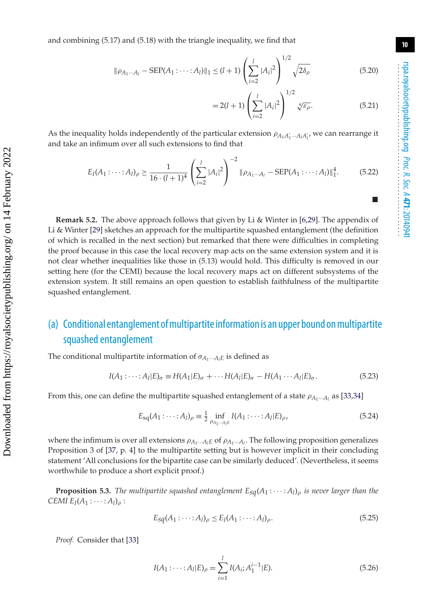-

**10**

and combining (5.17) and (5.18) with the triangle inequality, we find that

$$
\|\rho_{A_1\cdots A_l} - \text{SEP}(A_1 : \cdots : A_l)\|_1 \le (l+1) \left(\sum_{i=2}^l |A_i|^2\right)^{1/2} \sqrt{2\delta_\rho}
$$
(5.20)

$$
=2(l+1)\left(\sum_{i=2}^{l}|A_{i}|^{2}\right)^{1/2}\sqrt[4]{\varepsilon_{\rho}}.
$$
 (5.21)

As the inequality holds independently of the particular extension  $\rho_{A_1A'_1\cdots A_lA'_{l'}}$ , we can rearrange it and take an infimum over all such extensions to find that

$$
E_I(A_1: \dots: A_l)_\rho \ge \frac{1}{16 \cdot (l+1)^4} \left(\sum_{i=2}^l |A_i|^2\right)^{-2} \|\rho_{A_1 \dots A_l} - \text{SEP}(A_1: \dots: A_l)\|_1^4. \tag{5.22}
$$

**Remark 5.2.** The above approach follows that given by Li & Winter in [\[6](#page-19-5)[,29\]](#page-20-0). The appendix of Li & Winter [\[29\]](#page-20-0) sketches an approach for the multipartite squashed entanglement (the definition of which is recalled in the next section) but remarked that there were difficulties in completing the proof because in this case the local recovery map acts on the same extension system and it is not clear whether inequalities like those in (5.13) would hold. This difficulty is removed in our setting here (for the CEMI) because the local recovery maps act on different subsystems of the extension system. It still remains an open question to establish faithfulness of the multipartite squashed entanglement.

## (a) Conditional entanglement ofmultipartite information is an upper bound onmultipartite squashed entanglement

The conditional multipartite information of  $\sigma_{A_1\cdots A_lE}$  is defined as

$$
I(A_1: \cdots: A_l | E)_{\sigma} \equiv H(A_1 | E)_{\sigma} + \cdots H(A_l | E)_{\sigma} - H(A_1 \cdots A_l | E)_{\sigma}.
$$
\n
$$
(5.23)
$$

From this, one can define the multipartite squashed entanglement of a state  $\rho_{A_1\cdots A_l}$  as [\[33,](#page-20-4)[34\]](#page-20-5)

$$
E_{\text{sq}}(A_1 : \dots : A_l)_{\rho} \equiv \frac{1}{2} \inf_{\rho_{A_1} \dots \rho_{I} \in} I(A_1 : \dots : A_l | E)_{\rho},
$$
\n(5.24)

where the infimum is over all extensions  $\rho_{A_1\cdots A_lE}$  of  $\rho_{A_1\cdots A_l}$ . The following proposition generalizes Proposition 3 of [\[37,](#page-20-8) p. 4] to the multipartite setting but is however implicit in their concluding statement 'All conclusions for the bipartite case can be similarly deduced'. (Nevertheless, it seems worthwhile to produce a short explicit proof.)

**Proposition 5.3.** *The multipartite squashed entanglement*  $E_{sq}(A_1 : \cdots : A_l)_{\rho}$  *is never larger than the CEMI*  $E_I(A_1: \cdots: A_l)_\rho$ :

$$
E_{sq}(A_1:\cdots:A_l)_{\rho} \le E_I(A_1:\cdots:A_l)_{\rho}.
$$
\n
$$
(5.25)
$$

*Proof.* Consider that [\[33\]](#page-20-4)

$$
I(A_1: \dots: A_l | E)_{\rho} = \sum_{i=1}^l I(A_i; A_1^{i-1} | E).
$$
 (5.26)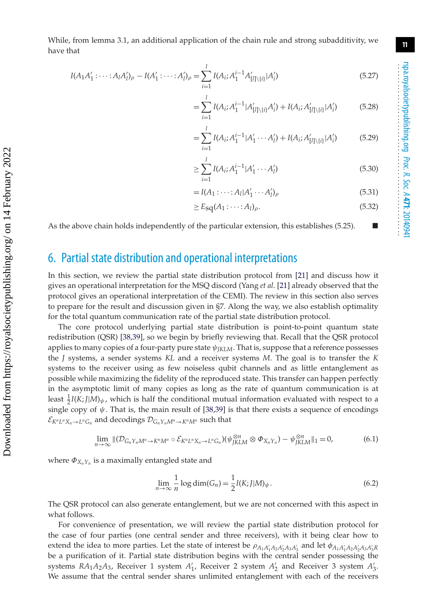While, from lemma 3.1, an additional application of the chain rule and strong subadditivity, we have that

$$
I(A_1A'_1: \dots: A_lA'_l)_{\rho} - I(A'_1: \dots: A'_l)_{\rho} = \sum_{i=1}^l I(A_i; A_1^{i-1}A'_{[l] \setminus \{i\}} | A'_i)
$$
(5.27)

$$
=\sum_{i=1}^{l} I(A_i; A_1^{i-1}|A'_{[l]\setminus\{i\}}A'_i) + I(A_i; A'_{[l]\setminus\{i\}}|A'_i)
$$
(5.28)

$$
= \sum_{i=1}^{l} I(A_i; A_1^{i-1} | A_1' \cdots A_l') + I(A_i; A_{[l] \setminus \{i\}}' | A_i')
$$
(5.29)

$$
\geq \sum_{i=1}^{l} I(A_i; A_1^{i-1} | A_1' \cdots A_l') \tag{5.30}
$$

$$
=I(A_1:\cdots:A_l|A'_1\cdots A'_l)_{\rho}
$$
\n(5.31)

$$
\geq E_{\text{sq}}(A_1 : \cdots : A_l)_{\rho}.\tag{5.32}
$$

As the above chain holds independently of the particular extension, this establishes (5.25).  $\blacksquare$ 

#### 6. Partial state distribution and operational interpretations

In this section, we review the partial state distribution protocol from [\[21\]](#page-19-14) and discuss how it gives an operational interpretation for the MSQ discord (Yang *et al*. [\[21\]](#page-19-14) already observed that the protocol gives an operational interpretation of the CEMI). The review in this section also serves to prepare for the result and discussion given in §7. Along the way, we also establish optimality for the total quantum communication rate of the partial state distribution protocol.

The core protocol underlying partial state distribution is point-to-point quantum state redistribution (QSR) [\[38](#page-20-9)[,39\]](#page-20-10), so we begin by briefly reviewing that. Recall that the QSR protocol applies to many copies of a four-party pure state ψ*JKLM*. That is, suppose that a reference possesses the *J* systems, a sender systems *KL* and a receiver systems *M*. The goal is to transfer the *K* systems to the receiver using as few noiseless qubit channels and as little entanglement as possible while maximizing the fidelity of the reproduced state. This transfer can happen perfectly in the asymptotic limit of many copies as long as the rate of quantum communication is at least  $\frac{1}{2}I(K;J|M)_{\psi}$ , which is half the conditional mutual information evaluated with respect to a single copy of  $\psi$ . That is, the main result of [\[38](#page-20-9)[,39\]](#page-20-10) is that there exists a sequence of encodings  $\mathcal{E}_{K^nL^nX_n\to L^nG_n}$  and decodings  $\mathcal{D}_{G_nY_nM^n\to K^nM^n}$  such that

$$
\lim_{n\to\infty} \left\| \left( \mathcal{D}_{G_n Y_n M^n \to K^n M^n} \circ \mathcal{E}_{K^n L^n X_n \to L^n G_n} \right) \left( \psi_{JKLM}^{\otimes n} \otimes \Phi_{X_n Y_n} \right) - \psi_{JKLM}^{\otimes n} \right\|_1 = 0, \tag{6.1}
$$

where  $\Phi_{X_n Y_n}$  is a maximally entangled state and

$$
\lim_{n \to \infty} \frac{1}{n} \log \dim(G_n) = \frac{1}{2} I(K; J|M)_{\psi}.
$$
\n(6.2)

The QSR protocol can also generate entanglement, but we are not concerned with this aspect in what follows.

For convenience of presentation, we will review the partial state distribution protocol for the case of four parties (one central sender and three receivers), with it being clear how to extend the idea to more parties. Let the state of interest be  $\rho_{A_1A'_1A_2A'_2A_3A'_3}$  and let  $\phi_{A_1A'_1A_2A'_2A_3A'_3R'_3}$ be a purification of it. Partial state distribution begins with the central sender possessing the systems *RA*<sub>1</sub>*A*<sub>2</sub>*A*<sub>3</sub>, Receiver 1 system *A*<sup>1</sup><sub>1</sub>, Receiver 2 system *A*<sup>2</sup><sub>2</sub> and Receiver 3 system *A*<sup>2</sup><sub>3</sub>. We assume that the central sender shares unlimited entanglement with each of the receivers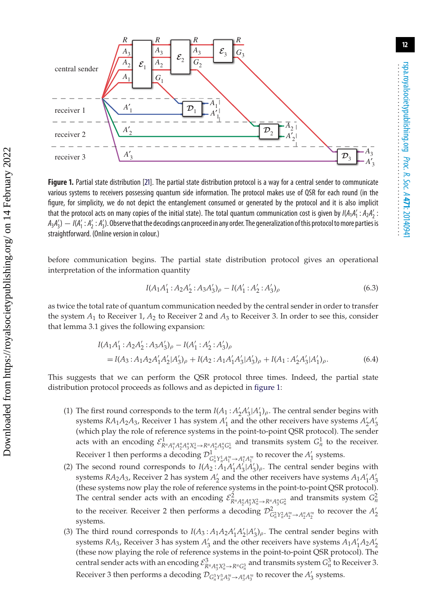

<span id="page-12-0"></span>**Figure 1.** Partial state distribution [\[21\]](#page-19-14). The partial state distribution protocol is a way for a central sender to communicate various systems to receivers possessing quantum side information. The protocol makes use of QSR for each round (in the figure, for simplicity, we do not depict the entanglement consumed or generated by the protocol and it is also implicit that the protocol acts on many copies of the initial state). The total quantum communication cost is given by *I*(*A*1*A* <sup>1</sup> : *A*2*A* 2 :  $A_3A_3'$ )  $- I(A_1':A_2':A_3')$ . Observe that the decodings can proceed in any order. The generalization of this protocol to more parties is straightforward. (Online version in colour.)

before communication begins. The partial state distribution protocol gives an operational interpretation of the information quantity

$$
I(A_1A'_1: A_2A'_2: A_3A'_3)_{\rho} - I(A'_1: A'_2: A'_3)_{\rho}
$$
\n(6.3)

as twice the total rate of quantum communication needed by the central sender in order to transfer the system *A*<sup>1</sup> to Receiver 1, *A*<sup>2</sup> to Receiver 2 and *A*<sup>3</sup> to Receiver 3. In order to see this, consider that lemma 3.1 gives the following expansion:

 Downloaded from https://royalsocietypublishing.org/ on 14 February 2022 Downloaded from https://royalsocietypublishing.org/ on 14 February 2022

$$
I(A_1A'_1: A_2A'_2: A_3A'_3)_{\rho} - I(A'_1: A'_2: A'_3)_{\rho}
$$
  
=  $I(A_3: A_1A_2A'_1A'_2|A'_3)_{\rho} + I(A_2: A_1A'_1A'_3|A'_3)_{\rho} + I(A_1: A'_2A'_3|A'_1)_{\rho}$ . (6.4)

This suggests that we can perform the QSR protocol three times. Indeed, the partial state distribution protocol proceeds as follows and as depicted in [figure 1:](#page-12-0)

- (1) The first round corresponds to the term  $I(A_1 : A'_2 A'_3 | A'_1)_\rho$ . The central sender begins with systems *RA*<sub>1</sub>*A*<sub>2</sub>*A*<sub>3</sub>, Receiver 1 has system *A*<sup>1</sup><sub>1</sub> and the other receivers have systems *A*<sup>2</sup><sub>2</sub>*A*<sup>2</sup><sub>3</sub> (which play the role of reference systems in the point-to-point QSR protocol). The sender acts with an encoding  $\mathcal{E}_{R^nA_1^nA_2^nA_3^nX_n^1\to R^nA_2^nA_3^nG_n^1}^1$  and transmits system  $G_n^1$  to the receiver. Receiver 1 then performs a decoding  $\mathcal{D}^1_{G^1_n Y^1_n A^m_1 \to A^n_1 A^m_1}$  to recover the  $A'_1$  systems.
- (2) The second round corresponds to  $I(A_2: A_1A'_1A'_3A'_3)$ <sub>*ρ*</sub>. The central sender begins with systems *RA*<sub>2</sub>*A*<sub>3</sub>, Receiver 2 has system *A*<sup>2</sup><sub>2</sub> and the other receivers have systems  $A_1A_1'A_3'$ (these systems now play the role of reference systems in the point-to-point QSR protocol). The central sender acts with an encoding  $\mathcal{E}_{R^nA_2^nA_3^nX_n^2\to R^nA_3^nG_n^2}^2$  and transmits system  $G_n^2$ to the receiver. Receiver 2 then performs a decoding  $\mathcal{D}^2_{G_n^2 Y_n^2 A_2^m \to A_2^n A_2^m}$  to recover the  $A_2'$ systems.
- (3) The third round corresponds to  $I(A_3: A_1A_2A'_1A'_2|A'_3)$ , The central sender begins with systems *RA*<sub>3</sub>, Receiver 3 has system  $A'_3$  and the other receivers have systems  $A_1A'_1A_2A'_2$ (these now playing the role of reference systems in the point-to-point QSR protocol). The central sender acts with an encoding  $\mathcal{E}_{R^nA_3^nX_n^3\to R^nG_n^3}^3$  and transmits system  $G_n^3$  to Receiver 3. Receiver 3 then performs a decoding  $\mathcal{D}_{G_n^3 Y_n^3 A_n^m \to A_3^n A_3^n}$  to recover the  $A'_3$  systems.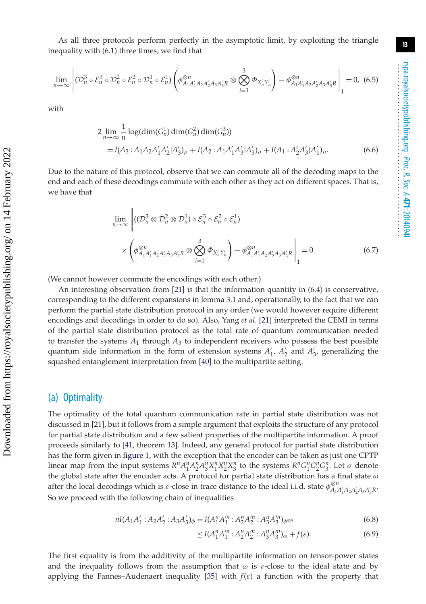As all three protocols perform perfectly in the asymptotic limit, by exploiting the triangle inequality with (6.1) three times, we find that

$$
\lim_{n\to\infty}\left\|(\mathcal{D}_n^3\circ\mathcal{E}_n^3\circ\mathcal{D}_n^2\circ\mathcal{E}_n^2\circ\mathcal{D}_n^1\circ\mathcal{E}_n^1)\left(\phi_{A_1A_1'A_2A_2'A_3A_3'R}^{\otimes n}\otimes\bigotimes_{i=1}^3\Phi_{X_n^iY_n^i}\right)-\phi_{A_1A_1'A_2A_2'A_3A_3'R}^{\otimes n}\right\|_1=0,\tag{6.5}
$$

with

$$
2 \lim_{n \to \infty} \frac{1}{n} \log(\dim(G_n^1) \dim(G_n^2) \dim(G_n^3))
$$
  
=  $I(A_3: A_1 A_2 A'_1 A'_2 | A'_3)_{\rho} + I(A_2: A_1 A'_1 A'_3 | A'_3)_{\rho} + I(A_1: A'_2 A'_3 | A'_1)_{\rho}.$  (6.6)

Due to the nature of this protocol, observe that we can commute all of the decoding maps to the end and each of these decodings commute with each other as they act on different spaces. That is, we have that

$$
\lim_{n \to \infty} \left\| \left( (\mathcal{D}_n^3 \otimes \mathcal{D}_n^2 \otimes \mathcal{D}_n^1) \circ \mathcal{E}_n^3 \circ \mathcal{E}_n^2 \circ \mathcal{E}_n^1 \right) \times \left( \phi_{A_1 A_1' A_2 A_2' A_3 A_3' R}^{\otimes n} \otimes \bigotimes_{i=1}^3 \Phi_{X_n^i Y_n^i} \right) - \phi_{A_1 A_1' A_2 A_2' A_3 A_3' R}^{\otimes n} \right\|_1 = 0.
$$
\n(6.7)

(We cannot however commute the encodings with each other.)

 $\mathbf{u}$ 

An interesting observation from [\[21\]](#page-19-14) is that the information quantity in (6.4) is conservative, corresponding to the different expansions in lemma 3.1 and, operationally, to the fact that we can perform the partial state distribution protocol in any order (we would however require different encodings and decodings in order to do so). Also, Yang *et al*. [\[21\]](#page-19-14) interpreted the CEMI in terms of the partial state distribution protocol as the total rate of quantum communication needed to transfer the systems  $A_1$  through  $A_3$  to independent receivers who possess the best possible quantum side information in the form of extension systems  $A'_1$ ,  $A'_2$  and  $A'_3$ , generalizing the squashed entanglement interpretation from [\[40\]](#page-20-11) to the multipartite setting.

#### (a) Optimality

The optimality of the total quantum communication rate in partial state distribution was not discussed in [\[21\]](#page-19-14), but it follows from a simple argument that exploits the structure of any protocol for partial state distribution and a few salient properties of the multipartite information. A proof proceeds similarly to [\[41,](#page-20-12) theorem 13]. Indeed, any general protocol for partial state distribution has the form given in [figure 1,](#page-12-0) with the exception that the encoder can be taken as just one CPTP linear map from the input systems  $R^n A_1^n A_2^n A_3^n X_1^n X_2^n X_3^n$  to the systems  $R^n G_1^n G_2^n G_3^n$ . Let  $\sigma$  denote the global state after the encoder acts. A protocol for partial state distribution has a final state  $\omega$ after the local decodings which is  $\varepsilon$ -close in trace distance to the ideal i.i.d. state  $\phi_{A_1A'_1A_2A'_2A_3A'_3R}^{ \otimes n}$ . So we proceed with the following chain of inequalities

$$
nI(A_1A'_1: A_2A'_2: A_3A'_3)\phi = I(A_1^nA_1^m: A_2^nA_2^m: A_3^nA_3^m)\phi^{\otimes n}
$$
\n
$$
(6.8)
$$

$$
\leq I(A_1^n A_1^m : A_2^n A_2^m : A_3^n A_3^m)_{\omega} + f(\varepsilon). \tag{6.9}
$$

The first equality is from the additivity of the multipartite information on tensor-power states and the inequality follows from the assumption that  $\omega$  is  $\varepsilon$ -close to the ideal state and by applying the Fannes–Audenaert inequality [\[35\]](#page-20-6) with  $f(\varepsilon)$  a function with the property that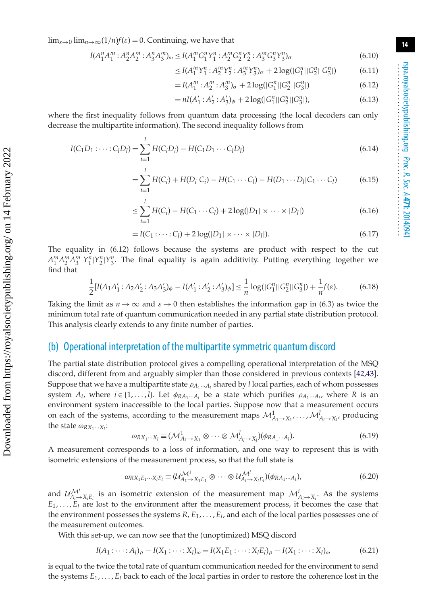$\lim_{\varepsilon\to 0}$   $\lim_{n\to\infty}$  (1/*n*)*f*( $\varepsilon$ ) = 0. Continuing, we have that

$$
I(A_1^nA_1^m:A_2^nA_2^m:A_3^nA_3^m)_{\omega}\leq I(A_1^mG_1^nY_1^n:A_2^mG_2^nY_2^n:A_3^mG_3^nY_3^n)_{\sigma}
$$
\n
$$
(6.10)
$$

$$
\leq I(A_1^m Y_1^n : A_2^m Y_2^n : A_3^m Y_3^n)_{\sigma} + 2\log(|G_1^n| |G_2^n| |G_3^n|)
$$
\n
$$
(6.11)
$$

$$
=I(A_1^m:A_2^m:A_3^m)_{\sigma}+2\log(|G_1^n||G_2^n||G_3^n|)
$$
\n(6.12)

$$
= nI(A'_1 : A'_2 : A'_3)_{\phi} + 2\log(|G_1^n||G_2^n||G_3^n|), \tag{6.13}
$$

where the first inequality follows from quantum data processing (the local decoders can only decrease the multipartite information). The second inequality follows from

$$
I(C_1D_1: \dots: C_lD_l) = \sum_{i=1}^l H(C_iD_i) - H(C_1D_1 \dots C_lD_l)
$$
\n(6.14)

$$
= \sum_{i=1}^{l} H(C_i) + H(D_i|C_i) - H(C_1 \cdots C_l) - H(D_1 \cdots D_l|C_1 \cdots C_l)
$$
(6.15)

$$
\leq \sum_{i=1}^{l} H(C_i) - H(C_1 \cdots C_l) + 2 \log(|D_1| \times \cdots \times |D_l|) \tag{6.16}
$$

$$
=I(C_1:\cdots:C_l)+2\log(|D_1|\times\cdots\times|D_l|). \hspace{1cm} (6.17)
$$

The equality in (6.12) follows because the systems are product with respect to the cut  $A_1^m A_2^m A_3^m |Y_1^n| Y_2^n |Y_3^n$ . The final equality is again additivity. Putting everything together we find that

$$
\frac{1}{2}[I(A_1A_1':A_2A_2':A_3A_3')_{\phi}-I(A_1':A_2':A_3')_{\phi}] \leq \frac{1}{n}\log(|G_1^n||G_2^n||G_3^n|)+\frac{1}{n}f(\varepsilon). \tag{6.18}
$$

Taking the limit as  $n \to \infty$  and  $\varepsilon \to 0$  then establishes the information gap in (6.3) as twice the minimum total rate of quantum communication needed in any partial state distribution protocol. This analysis clearly extends to any finite number of parties.

#### (b) Operational interpretation of the multipartite symmetric quantum discord

The partial state distribution protocol gives a compelling operational interpretation of the MSQ discord, different from and arguably simpler than those considered in previous contexts [\[42,](#page-20-13)[43\]](#page-20-14). Suppose that we have a multipartite state  $\rho_{A_1\cdots A_l}$  shared by *l* local parties, each of whom possesses system  $A_i$ , where  $i \in \{1, ..., l\}$ . Let  $\phi_{RA_1\cdots A_l}$  be a state which purifies  $\rho_{A_1\cdots A_l}$ , where *R* is an environment system inaccessible to the local parties. Suppose now that a measurement occurs on each of the systems, according to the measurement maps  $M^1_{A_1 \to X_1}, \ldots, M^l_{A_l \to X_{l'}}$  producing the state  $\omega_{RX_1\cdots X_l}$ :

$$
\omega_{RX_1\cdots X_l} \equiv (\mathcal{M}_{A_1 \to X_1}^1 \otimes \cdots \otimes \mathcal{M}_{A_l \to X_l}^l)(\phi_{RA_1\cdots A_l}). \tag{6.19}
$$

A measurement corresponds to a loss of information, and one way to represent this is with isometric extensions of the measurement process, so that the full state is

$$
\omega_{RX_1E_1\cdots X_lE_l} \equiv (\mathcal{U}_{A_1\rightarrow X_1E_1}^{M^1} \otimes \cdots \otimes \mathcal{U}_{A_l\rightarrow X_lE_l}^{M^l})(\phi_{RA_1\cdots A_l}),
$$
\n(6.20)

and  $\mathcal{U}_{A_i \to X_i E_i}^{M^i}$  is an isometric extension of the measurement map  $\mathcal{M}_{A_i \to X_i}^i$ . As the systems  $E_1, \ldots, E_l$  are lost to the environment after the measurement process, it becomes the case that the environment possesses the systems *R*, *E*1, ... , *El*, and each of the local parties possesses one of the measurement outcomes.

With this set-up, we can now see that the (unoptimized) MSQ discord

$$
I(A_1: \dots: A_l)_{\rho} - I(X_1: \dots: X_l)_{\omega} = I(X_1 E_1: \dots: X_l E_l)_{\rho} - I(X_1: \dots: X_l)_{\omega}
$$
\n(6.21)

is equal to the twice the total rate of quantum communication needed for the environment to send the systems *E*1, ... , *El* back to each of the local parties in order to restore the coherence lost in the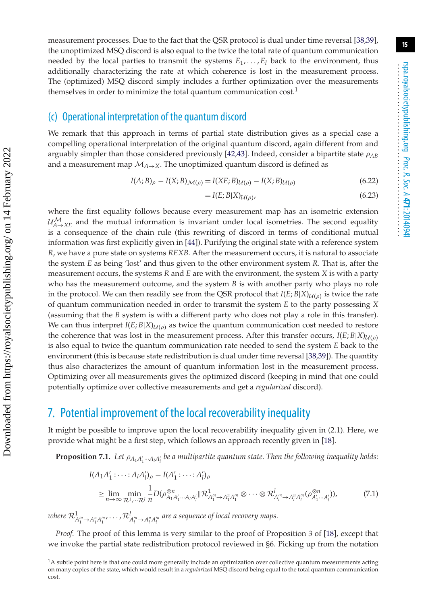#### (c) Operational interpretation of the quantum discord

 Downloaded from https://royalsocietypublishing.org/ on 14 February 2022 Downloaded from https://royalsocietypublishing.org/ on 14 February 2022 We remark that this approach in terms of partial state distribution gives as a special case a compelling operational interpretation of the original quantum discord, again different from and arguably simpler than those considered previously [\[42](#page-20-13)[,43\]](#page-20-14). Indeed, consider a bipartite state  $\rho_{AB}$ and a measurement map  $M_{A\rightarrow X}$ . The unoptimized quantum discord is defined as

$$
I(A;B)_{\rho} - I(X;B)_{\mathcal{M}(\rho)} = I(XE;B)_{\mathcal{U}(\rho)} - I(X;B)_{\mathcal{U}(\rho)}
$$
(6.22)

$$
= I(E; B|X)_{\mathcal{U}(\rho)},\tag{6.23}
$$

where the first equality follows because every measurement map has an isometric extension  $\mathcal{U}^{\mathcal{M}}_{A\to XE}$  and the mutual information is invariant under local isometries. The second equality is a consequence of the chain rule (this rewriting of discord in terms of conditional mutual information was first explicitly given in [\[44\]](#page-20-15)). Purifying the original state with a reference system *R*, we have a pure state on systems *REXB*. After the measurement occurs, it is natural to associate the system *E* as being 'lost' and thus given to the other environment system *R*. That is, after the measurement occurs, the systems *R* and *E* are with the environment, the system *X* is with a party who has the measurement outcome, and the system *B* is with another party who plays no role in the protocol. We can then readily see from the QSR protocol that  $I(E; B|X)_{U(\rho)}$  is twice the rate of quantum communication needed in order to transmit the system *E* to the party possessing *X* (assuming that the *B* system is with a different party who does not play a role in this transfer). We can thus interpret  $I(E; B|X)_{U(\rho)}$  as twice the quantum communication cost needed to restore the coherence that was lost in the measurement process. After this transfer occurs,  $I(E; B|X)_{U(\rho)}$ is also equal to twice the quantum communication rate needed to send the system *E* back to the environment (this is because state redistribution is dual under time reversal [\[38](#page-20-9)[,39\]](#page-20-10)). The quantity thus also characterizes the amount of quantum information lost in the measurement process. Optimizing over all measurements gives the optimized discord (keeping in mind that one could potentially optimize over collective measurements and get a *regularized* discord).

#### 7. Potential improvement of the local recoverability inequality

It might be possible to improve upon the local recoverability inequality given in (2.1). Here, we provide what might be a first step, which follows an approach recently given in [\[18\]](#page-19-11).

**Proposition 7.1.** Let  $\rho_{A_1A_1'\cdots A_lA_l'}$  be a multipartite quantum state. Then the following inequality holds:

$$
I(A_1A'_1: \cdots: A_lA'_l)_{\rho} - I(A'_1: \cdots: A'_l)_{\rho}
$$
  
\n
$$
\geq \lim_{n \to \infty} \min_{\mathcal{R}^1, \dots, \mathcal{R}^l} \frac{1}{n} D(\rho_{A_1A'_1 \cdots A_lA'_l}^{\otimes n} \| \mathcal{R}_{A''_1 \to A''_1A''_l}^1 \otimes \cdots \otimes \mathcal{R}_{A''_l \to A''_lA''_l}^l (\rho_{A'_1 \cdots A'_l}^{\otimes n}))
$$
 (7.1)

 $\iota$ where  $\mathcal{R}^1_{A^m_1\to A^n_1A^m_1},\ldots,\mathcal{R}^l_{A^m_l\to A^n_lA^m_l}$  are a sequence of local recovery maps.

*Proof.* The proof of this lemma is very similar to the proof of Proposition 3 of [\[18\]](#page-19-11), except that we invoke the partial state redistribution protocol reviewed in §6. Picking up from the notation

<sup>&</sup>lt;sup>1</sup>A subtle point here is that one could more generally include an optimization over collective quantum measurements acting on many copies of the state, which would result in a *regularized* MSQ discord being equal to the total quantum communication cost.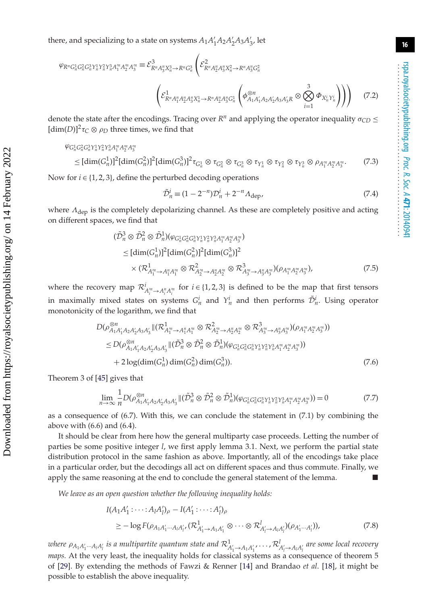there, and specializing to a state on systems  $A_1A_1'A_2A_2'A_3A_3$ , let

$$
\varphi_{R^{n}G_{n}^{1}G_{n}^{2}G_{n}^{3}Y_{n}^{1}Y_{n}^{2}Y_{n}^{3}A_{1}^{m}A_{2}^{m}A_{3}^{m}} \equiv \mathcal{E}_{R^{n}A_{3}^{n}X_{n}^{3} \to R^{n}G_{n}^{3}}^{3} \left( \mathcal{E}_{R^{n}A_{2}^{n}A_{3}^{n}X_{n}^{2} \to R^{n}A_{3}^{n}G_{n}^{2}}^{2} \times \left( \mathcal{E}_{R^{n}A_{1}^{n}A_{2}^{n}A_{3}^{n}X_{n}^{2} \to R^{n}A_{2}^{n}A_{3}^{n}G_{n}^{2}}^{3} \left( \phi_{A_{1}A_{1}^{'}A_{2}A_{2}^{'}A_{3}A_{3}^{'}R}^{3} \otimes \bigotimes_{i=1}^{3} \Phi_{X_{n}^{i}Y_{n}^{i}} \right) \right) \right)
$$
(7.2)

denote the state after the encodings. Tracing over  $R^n$  and applying the operator inequality  $\sigma_{CD} \leq$  $[\dim(D)]^2 \tau_C \otimes \rho_D$  three times, we find that

$$
\varphi_{G_n^1 G_n^2 G_n^3 Y_n^1 Y_n^2 Y_n^3 A_1^m A_2^m A_3^m}
$$

 $\leq [\dim(G_n^1)]^2[\dim(G_n^2)]^2[\dim(G_n^3)]^2 \tau_{G_n^1} \otimes \tau_{G_n^2} \otimes \tau_{G_n^3} \otimes \tau_{Y_n^1} \otimes \tau_{Y_n^2} \otimes \tau_{Y_n^3} \otimes \rho_{A_1^nA_2^mA_3^n}]$  $(7.3)$ 

Now for  $i \in \{1, 2, 3\}$ , define the perturbed decoding operations

$$
\tilde{\mathcal{D}}_n^i \equiv (1 - 2^{-n}) \mathcal{D}_n^i + 2^{-n} \Lambda_{\text{dep}},\tag{7.4}
$$

where  $\Lambda_{\text{dep}}$  is the completely depolarizing channel. As these are completely positive and acting on different spaces, we find that

$$
\begin{split}\n&\left(\tilde{\mathcal{D}}_{n}^{3}\otimes\tilde{\mathcal{D}}_{n}^{2}\otimes\tilde{\mathcal{D}}_{n}^{1}\right)\left(\varphi_{G_{n}^{1}G_{n}^{2}G_{n}^{3}\gamma_{n}^{1}\gamma_{n}^{2}\gamma_{n}^{3}A_{1}^{m}A_{2}^{m}A_{3}^{m}}\right) \\
&\leq\left[\dim(G_{n}^{1})\right]^{2}\left[\dim(G_{n}^{2})\right]^{2}\left[\dim(G_{n}^{3})\right]^{2} \\
&\times\left(\mathcal{R}_{A_{1}^{m}\rightarrow A_{1}^{n}A_{1}^{m}}^{1}\otimes\mathcal{R}_{A_{2}^{m}\rightarrow A_{2}^{n}A_{2}^{m}}^{2}\otimes\mathcal{R}_{A_{3}^{m}\rightarrow A_{3}^{n}A_{3}^{m}}^{3}\right)\left(\rho_{A_{1}^{m}A_{2}^{m}A_{3}^{m}}\right),\n\end{split} \tag{7.5}
$$

where the recovery map  $\mathcal{R}_{A_i^n \to A_i^n A_i^n}^i$  for  $i \in \{1, 2, 3\}$  is defined to be the map that first tensors in maximally mixed states on systems  $G_n^i$  and  $Y_n^i$  and then performs  $\tilde{\mathcal{D}}_n^i$ . Using operator monotonicity of the logarithm, we find that

$$
D(\rho_{A_1A'_1A_2A'_2A_3A'_3}^{\otimes n} \| (\mathcal{R}_{A_1^m \to A_1^n A_1^m}^1 \otimes \mathcal{R}_{A_2^m \to A_2^n A_2^m}^2 \otimes \mathcal{R}_{A_3^m \to A_3^n A_3^m}^3) (\rho_{A_1^m A_2^m A_3^m})
$$
  
\n
$$
\leq D(\rho_{A_1A'_1A_2A'_2A_3A'_3}^{\otimes n} \| (\tilde{\mathcal{D}}_n^3 \otimes \tilde{\mathcal{D}}_n^2 \otimes \tilde{\mathcal{D}}_n^1) (\varphi_{G_n^1 G_n^2 G_n^3 Y_n^1 Y_n^2 Y_n^3 A_1^m A_2^m A_3^m})
$$
  
\n
$$
+ 2 \log(\dim(G_n^1) \dim(G_n^2) \dim(G_n^3)). \tag{7.6}
$$

Theorem 3 of [\[45\]](#page-20-16) gives that

$$
\lim_{n \to \infty} \frac{1}{n} D(\rho_{A_1 A_1' A_2 A_2' A_3 A_3'}^{\otimes n} \| (\tilde{\mathcal{D}}_n^3 \otimes \tilde{\mathcal{D}}_n^2 \otimes \tilde{\mathcal{D}}_n^1) (\varphi_{G_n^1 G_n^2 G_n^3 Y_n^1 Y_n^2 Y_n^3 A_1'' A_2'' A_3''}^n)) = 0 \tag{7.7}
$$

as a consequence of (6.7). With this, we can conclude the statement in (7.1) by combining the above with (6.6) and (6.4).

It should be clear from here how the general multiparty case proceeds. Letting the number of parties be some positive integer *l*, we first apply lemma 3.1. Next, we perform the partial state distribution protocol in the same fashion as above. Importantly, all of the encodings take place in a particular order, but the decodings all act on different spaces and thus commute. Finally, we apply the same reasoning at the end to conclude the general statement of the lemma.

*We leave as an open question whether the following inequality holds:*

$$
I(A_1 A'_1 : \dots : A_l A'_l)_{\rho} - I(A'_1 : \dots : A'_l)_{\rho}
$$
  
\n
$$
\geq -\log F(\rho_{A_1 A'_1 \dots A_l A'_{l'}} (\mathcal{R}^1_{A'_1 \to A_1 A'_1} \otimes \dots \otimes \mathcal{R}^l_{A'_l \to A_l A'_l})(\rho_{A'_1 \dots A'_l})),
$$
\n(7.8)

where  $\rho_{A_1A_1'\cdots A_lA_l'}$  is a multipartite quantum state and  $\mathcal{R}_{A_1'\to A_1A_1'}^1$   $\ldots$  ,  $\mathcal{R}_{A_l'\to A_lA_l'}^l$  are some local recovery *maps.* At the very least, the inequality holds for classical systems as a consequence of theorem 5 of [\[29\]](#page-20-0). By extending the methods of Fawzi & Renner [\[14\]](#page-19-7) and Brandao *et al*. [\[18\]](#page-19-11), it might be possible to establish the above inequality.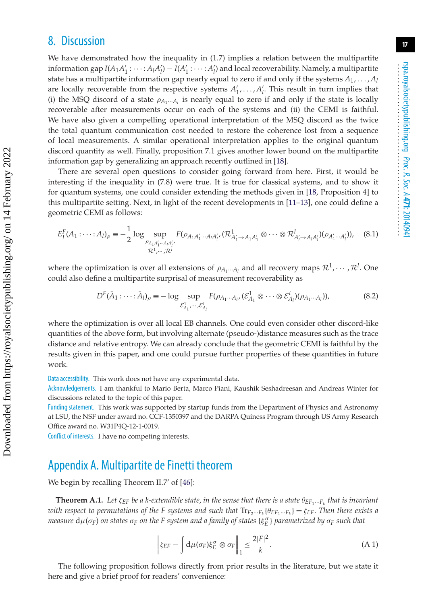## 8. Discussion

We have demonstrated how the inequality in (1.7) implies a relation between the multipartite information gap  $I(A_1A'_1: \cdots: A_lA'_l) - I(A'_1: \cdots: A'_l)$  and local recoverability. Namely, a multipartite state has a multipartite information gap nearly equal to zero if and only if the systems *A*1, ... , *Al* are locally recoverable from the respective systems  $A'_1, \ldots, A'_l$ . This result in turn implies that (i) the MSQ discord of a state  $\rho_{A_1\cdots A_l}$  is nearly equal to zero if and only if the state is locally recoverable after measurements occur on each of the systems and (ii) the CEMI is faithful. We have also given a compelling operational interpretation of the MSQ discord as the twice the total quantum communication cost needed to restore the coherence lost from a sequence of local measurements. A similar operational interpretation applies to the original quantum discord quantity as well. Finally, proposition 7.1 gives another lower bound on the multipartite information gap by generalizing an approach recently outlined in [\[18\]](#page-19-11).

There are several open questions to consider going forward from here. First, it would be interesting if the inequality in (7.8) were true. It is true for classical systems, and to show it for quantum systems, one could consider extending the methods given in [\[18,](#page-19-11) Proposition 4] to this multipartite setting. Next, in light of the recent developments in [\[11–](#page-19-22)[13\]](#page-19-6), one could define a geometric CEMI as follows:

$$
E_I^F(A_1: \dots: A_l)_{\rho} \equiv -\frac{1}{2} \log \sup_{\substack{\rho_{A_1 A_1' \dots A_l A_l'} \\ \mathcal{R}^1, \dots, \mathcal{R}^l}} F(\rho_{A_1 A_1' \dots A_l A_l'}, (\mathcal{R}_{A_1' \to A_1 A_1'}^1 \otimes \dots \otimes \mathcal{R}_{A_l' \to A_l A_l'}^l)(\rho_{A_1' \dots A_l'})), \quad (8.1)
$$

where the optimization is over all extensions of  $\rho_{A_1\cdots A_l}$  and all recovery maps  $\mathcal{R}^1,\cdots,\mathcal{R}^l$ . One could also define a multipartite surprisal of measurement recoverability as

$$
D^{F}(\bar{A}_{1}:\cdots:\bar{A}_{l})_{\rho} \equiv -\log \sup_{\mathcal{E}_{A_{1}}^{1},\cdots,\mathcal{E}_{A_{l}}^{l}} F(\rho_{A_{1}\cdots A_{l}},(\mathcal{E}_{A_{1}}^{1}\otimes\cdots\otimes\mathcal{E}_{A_{l}}^{l})(\rho_{A_{1}\cdots A_{l}})),
$$
(8.2)

where the optimization is over all local EB channels. One could even consider other discord-like quantities of the above form, but involving alternate (pseudo-)distance measures such as the trace distance and relative entropy. We can already conclude that the geometric CEMI is faithful by the results given in this paper, and one could pursue further properties of these quantities in future work.

Data accessibility. This work does not have any experimental data.

Acknowledgements. I am thankful to Mario Berta, Marco Piani, Kaushik Seshadreesan and Andreas Winter for discussions related to the topic of this paper.

Funding statement. This work was supported by startup funds from the Department of Physics and Astronomy at LSU, the NSF under award no. CCF-1350397 and the DARPA Quiness Program through US Army Research Office award no. W31P4Q-12-1-0019.

Conflict of interests. I have no competing interests.

## Appendix A. Multipartite de Finetti theorem

We begin by recalling Theorem II.7' of [\[46\]](#page-20-17):

**Theorem A.1.** *Let*  $\zeta_{EF}$  *be a k-extendible state, in the sense that there is a state*  $\theta_{EF_1}...F_k$  *that is invariant with respect to permutations of the F systems and such that*  $Tr_{F_2\cdots F_k}(\theta_{EF_1\cdots F_k}) = \zeta_{EF}$ . Then there exists a  $m$ easure  $d\mu(\sigma_F)$  *on states*  $\sigma_F$  *on the F system and a family of states*  $\{\xi_E^\sigma\}$  *parametrized by*  $\sigma_F$  *such that* 

$$
\left\| \zeta_{EF} - \int d\mu(\sigma_F) \xi_E^{\sigma} \otimes \sigma_F \right\|_1 \le \frac{2|F|^2}{k}.
$$
 (A1)

The following proposition follows directly from prior results in the literature, but we state it here and give a brief proof for readers' convenience: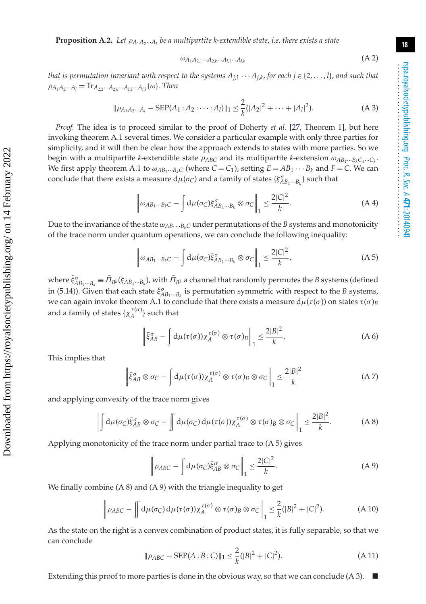**Proposition A.2.** *Let* ρ*A*1*A*2···*Al be a multipartite k-extendible state*, *i.e. there exists a state*

$$
\omega_{A_1A_2,1}\dots A_{2,k}\dots A_{l,1}\dots A_{l,k} \tag{A.2}
$$

*that is permutation invariant with respect to the systems*  $A_{j,1} \cdots A_{j,k}$ , *for each j*  $\in$  {2, ...,*l*}, *and such that*  $\rho_{A_1A_2\cdots A_l} = \text{Tr}_{A_{2,2}\cdots A_{2,k}\cdots A_{l,2}\cdots A_{lk}}\{\omega\}$ . Then

$$
\|\rho_{A_1A_2\cdots A_l} - \text{SEP}(A_1 \cdot A_2 \cdot \cdots \cdot A_l)\|_1 \le \frac{2}{k} (|A_2|^2 + \cdots + |A_l|^2). \tag{A 3}
$$

*Proof.* The idea is to proceed similar to the proof of Doherty *et al*. [\[27,](#page-19-20) Theorem 1], but here invoking theorem A.1 several times. We consider a particular example with only three parties for simplicity, and it will then be clear how the approach extends to states with more parties. So we begin with a multipartite *k*-extendible state  $\rho_{ABC}$  and its multipartite *k*-extension  $\omega_{AB_1\cdots B_kC_1\cdots C_k}$ . We first apply theorem A.1 to  $\omega_{AB_1\cdots B_kC}$  (where  $C = C_1$ ), setting  $E = AB_1 \cdots B_k$  and  $F = C$ . We can conclude that there exists a measure  $d\mu(\sigma_C)$  and a family of states  $\{\xi_{AB_1\cdots B_k}^{\sigma}\}$  such that

$$
\left\|\omega_{AB_1\cdots B_kC} - \int d\mu(\sigma_C)\xi_{AB_1\cdots B_k}^{\sigma} \otimes \sigma_C\right\|_1 \le \frac{2|C|^2}{k}.
$$
 (A4)

Due to the invariance of the state  $\omega_{AB_1\cdots B_kC}$  under permutations of the *B* systems and monotonicity of the trace norm under quantum operations, we can conclude the following inequality:

$$
\left\|\omega_{AB_1\cdots B_kC} - \int d\mu(\sigma_C)\bar{\xi}_{AB_1\cdots B_k}^{\sigma} \otimes \sigma_C\right\|_1 \leq \frac{2|C|^2}{k},\tag{A.5}
$$

where  $\bar{\xi}_{AB_1\cdots B_k}^{\sigma} \equiv \bar{\Pi}_{B^k}(\xi_{AB_1\cdots B_k})$ , with  $\bar{\Pi}_{B^k}$  a channel that randomly permutes the *B* systems (defined in (5.14)). Given that each state  $\bar{\xi}_{AB_1\cdots B_k}^{\sigma}$  is permutation symmetric with respect to the *B* systems, we can again invoke theorem A.1 to conclude that there exists a measure  $d\mu(\tau(\sigma))$  on states  $\tau(\sigma)_B$ and a family of states  $\{\chi_A^{\tau(\sigma)}\}$  such that

$$
\left\| \bar{\xi}_{AB}^{\sigma} - \int d\mu(\tau(\sigma)) \chi_A^{\tau(\sigma)} \otimes \tau(\sigma)_B \right\|_1 \leq \frac{2|B|^2}{k}.
$$
 (A 6)

This implies that

$$
\left\| \bar{\xi}_{AB}^{\sigma} \otimes \sigma_C - \int d\mu(\tau(\sigma)) \chi_A^{\tau(\sigma)} \otimes \tau(\sigma)_B \otimes \sigma_C \right\|_1 \leq \frac{2|B|^2}{k} \tag{A7}
$$

and applying convexity of the trace norm gives

$$
\left\|\int d\mu(\sigma_C)\bar{\xi}_{AB}^{\sigma}\otimes\sigma_C-\int d\mu(\sigma_C)d\mu(\tau(\sigma))\chi_A^{\tau(\sigma)}\otimes\tau(\sigma)_B\otimes\sigma_C\right\|_1\leq \frac{2|B|^2}{k}.
$$
 (A 8)

Applying monotonicity of the trace norm under partial trace to (A 5) gives

$$
\left\|\rho_{ABC} - \int d\mu(\sigma_C)\bar{\xi}_{AB}^{\sigma} \otimes \sigma_C\right\|_1 \le \frac{2|C|^2}{k}.\tag{A9}
$$

We finally combine (A 8) and (A 9) with the triangle inequality to get

$$
\left\|\rho_{ABC} - \int d\mu(\sigma_C) d\mu(\tau(\sigma)) \chi_A^{\tau(\sigma)} \otimes \tau(\sigma)_B \otimes \sigma_C\right\|_1 \leq \frac{2}{k} (|B|^2 + |C|^2). \tag{A 10}
$$

As the state on the right is a convex combination of product states, it is fully separable, so that we can conclude

$$
\|\rho_{ABC} - \text{SEP}(A:B:C)\|_1 \le \frac{2}{k} (|B|^2 + |C|^2). \tag{A 11}
$$

Extending this proof to more parties is done in the obvious way, so that we can conclude  $(A 3)$ .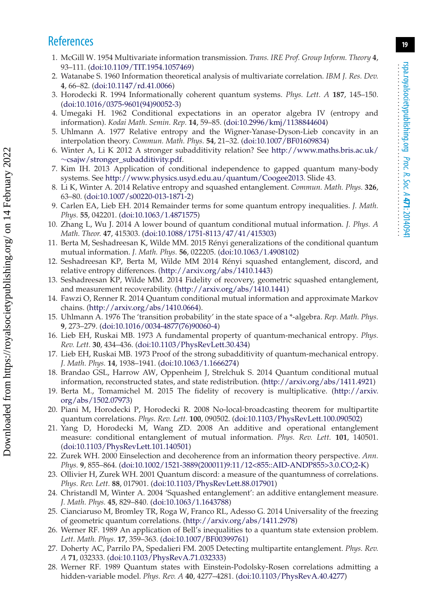# <span id="page-19-0"></span>**References**

- 1. McGill W. 1954 Multivariate information transmission. *Trans. IRE Prof. Group Inform. Theory* **4**, 93–111. [\(doi:10.1109/TIT.1954.1057469\)](http://dx.doi.org/doi:10.1109/TIT.1954.1057469)
- <span id="page-19-1"></span>2. Watanabe S. 1960 Information theoretical analysis of multivariate correlation. *IBM J. Res. Dev.* **4**, 66–82. [\(doi:10.1147/rd.41.0066\)](http://dx.doi.org/doi:10.1147/rd.41.0066)
- <span id="page-19-2"></span>3. Horodecki R. 1994 Informationally coherent quantum systems. *Phys. Lett. A* **187**, 145–150. [\(doi:10.1016/0375-9601\(94\)90052-3\)](http://dx.doi.org/doi:10.1016/0375-9601(94)90052-3)
- <span id="page-19-3"></span>4. Umegaki H. 1962 Conditional expectations in an operator algebra IV (entropy and information). *Kodai Math. Semin. Rep.* **14**, 59–85. [\(doi:10.2996/kmj/1138844604\)](http://dx.doi.org/doi:10.2996/kmj/1138844604)
- <span id="page-19-4"></span>5. Uhlmann A. 1977 Relative entropy and the Wigner-Yanase-Dyson-Lieb concavity in an interpolation theory. *Commun. Math. Phys.* **54**, 21–32. [\(doi:10.1007/BF01609834\)](http://dx.doi.org/doi:10.1007/BF01609834)
- <span id="page-19-5"></span>6. Winter A, Li K 2012 A stronger subadditivity relation? See [http://www.maths.bris.ac.uk/](http://www.maths.bris.ac.uk/~csajw/stronger_subadditivity.pdf) ∼[csajw/stronger\\_subadditivity.pdf.](http://www.maths.bris.ac.uk/~csajw/stronger_subadditivity.pdf)
- 7. Kim IH. 2013 Application of conditional independence to gapped quantum many-body systems. See [http://www.physics.usyd.edu.au/quantum/Coogee2013.](http://www.physics.usyd.edu.au/quantum/Coogee2013) Slide 43.
- 8. Li K, Winter A. 2014 Relative entropy and squashed entanglement. *Commun. Math. Phys.* **326**, 63–80. [\(doi:10.1007/s00220-013-1871-2\)](http://dx.doi.org/doi:10.1007/s00220-013-1871-2)
- 9. Carlen EA, Lieb EH. 2014 Remainder terms for some quantum entropy inequalities. *J. Math. Phys.* **55**, 042201. [\(doi:10.1063/1.4871575\)](http://dx.doi.org/doi:10.1063/1.4871575)
- 10. Zhang L, Wu J. 2014 A lower bound of quantum conditional mutual information. *J. Phys. A Math. Theor.* **47**, 415303. [\(doi:10.1088/1751-8113/47/41/415303\)](http://dx.doi.org/doi:10.1088/1751-8113/47/41/415303)
- <span id="page-19-22"></span>11. Berta M, Seshadreesan K, Wilde MM. 2015 Rényi generalizations of the conditional quantum mutual information. *J. Math. Phys.* **56**, 022205. [\(doi:10.1063/1.4908102\)](http://dx.doi.org/doi:10.1063/1.4908102)
- 12. Seshadreesan KP, Berta M, Wilde MM 2014 Rényi squashed entanglement, discord, and relative entropy differences. [\(http://arxiv.org/abs/1410.1443\)](http://arxiv.org/abs/1410.1443)
- <span id="page-19-6"></span>13. Seshadreesan KP, Wilde MM. 2014 Fidelity of recovery, geometric squashed entanglement, and measurement recoverability. [\(http://arxiv.org/abs/1410.1441\)](http://arxiv.org/abs/1410.1441)
- <span id="page-19-7"></span>14. Fawzi O, Renner R. 2014 Quantum conditional mutual information and approximate Markov chains. [\(http://arxiv.org/abs/1410.0664\)](http://arxiv.org/abs/1410.0664).
- <span id="page-19-8"></span>15. Uhlmann A. 1976 The 'transition probability' in the state space of a \*-algebra. *Rep. Math. Phys.* **9**, 273–279. [\(doi:10.1016/0034-4877\(76\)90060-4\)](http://dx.doi.org/doi:10.1016/0034-4877(76)90060-4)
- <span id="page-19-9"></span>16. Lieb EH, Ruskai MB. 1973 A fundamental property of quantum-mechanical entropy. *Phys. Rev. Lett.* **30**, 434–436. [\(doi:10.1103/PhysRevLett.30.434\)](http://dx.doi.org/doi:10.1103/PhysRevLett.30.434)
- <span id="page-19-10"></span>17. Lieb EH, Ruskai MB. 1973 Proof of the strong subadditivity of quantum-mechanical entropy. *J. Math. Phys.* **14**, 1938–1941. [\(doi:10.1063/1.1666274\)](http://dx.doi.org/doi:10.1063/1.1666274)
- <span id="page-19-11"></span>18. Brandao GSL, Harrow AW, Oppenheim J, Strelchuk S. 2014 Quantum conditional mutual information, reconstructed states, and state redistribution. [\(http://arxiv.org/abs/1411.4921\)](http://arxiv.org/abs/1411.4921)
- <span id="page-19-12"></span>19. Berta M., Tomamichel M. 2015 The fidelity of recovery is multiplicative. [\(http://arxiv.](http://arxiv.org/abs/1502.07973) [org/abs/1502.07973\)](http://arxiv.org/abs/1502.07973)
- <span id="page-19-13"></span>20. Piani M, Horodecki P, Horodecki R. 2008 No-local-broadcasting theorem for multipartite quantum correlations. *Phys. Rev. Lett.* **100**, 090502. [\(doi:10.1103/PhysRevLett.100.090502\)](http://dx.doi.org/doi:10.1103/PhysRevLett.100.090502)
- <span id="page-19-14"></span>21. Yang D, Horodecki M, Wang ZD. 2008 An additive and operational entanglement measure: conditional entanglement of mutual information. *Phys. Rev. Lett.* **101**, 140501. [\(doi:10.1103/PhysRevLett.101.140501\)](http://dx.doi.org/doi:10.1103/PhysRevLett.101.140501)
- <span id="page-19-15"></span>22. Zurek WH. 2000 Einselection and decoherence from an information theory perspective. *Ann. Phys.* **9**, 855–864. [\(doi:10.1002/1521-3889\(200011\)9:11/12<855::AID-ANDP855>3.0.CO;2-K\)](http://dx.doi.org/doi:10.1002/1521-3889(200011)9:11/12<855::AID-ANDP855>3.0.CO;2-K)
- <span id="page-19-16"></span>23. Ollivier H, Zurek WH. 2001 Quantum discord: a measure of the quantumness of correlations. *Phys. Rev. Lett.* **88**, 017901. [\(doi:10.1103/PhysRevLett.88.017901\)](http://dx.doi.org/doi:10.1103/PhysRevLett.88.017901)
- <span id="page-19-17"></span>24. Christandl M, Winter A. 2004 'Squashed entanglement': an additive entanglement measure. *J. Math. Phys.* **45**, 829–840. [\(doi:10.1063/1.1643788\)](http://dx.doi.org/doi:10.1063/1.1643788)
- <span id="page-19-18"></span>25. Cianciaruso M, Bromley TR, Roga W, Franco RL, Adesso G. 2014 Universality of the freezing of geometric quantum correlations. [\(http://arxiv.org/abs/1411.2978\)](http://arxiv.org/abs/1411.2978)
- <span id="page-19-19"></span>26. Werner RF. 1989 An application of Bell's inequalities to a quantum state extension problem. *Lett. Math. Phys.* **17**, 359–363. [\(doi:10.1007/BF00399761\)](http://dx.doi.org/doi:10.1007/BF00399761)
- <span id="page-19-20"></span>27. Doherty AC, Parrilo PA, Spedalieri FM. 2005 Detecting multipartite entanglement. *Phys. Rev. A* **71**, 032333. [\(doi:10.1103/PhysRevA.71.032333\)](http://dx.doi.org/doi:10.1103/PhysRevA.71.032333)
- <span id="page-19-21"></span>28. Werner RF. 1989 Quantum states with Einstein-Podolsky-Rosen correlations admitting a hidden-variable model. *Phys. Rev. A* **40**, 4277–4281. [\(doi:10.1103/PhysRevA.40.4277\)](http://dx.doi.org/doi:10.1103/PhysRevA.40.4277)